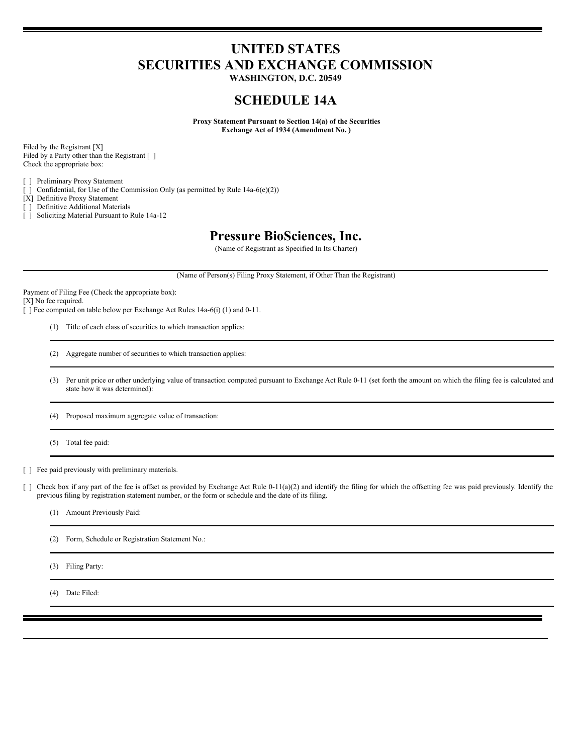# **UNITED STATES SECURITIES AND EXCHANGE COMMISSION**

**WASHINGTON, D.C. 20549**

## **SCHEDULE 14A**

**Proxy Statement Pursuant to Section 14(a) of the Securities Exchange Act of 1934 (Amendment No. )**

Filed by the Registrant [X] Filed by a Party other than the Registrant [ ] Check the appropriate box:

[ ] Preliminary Proxy Statement

[ ] Confidential, for Use of the Commission Only (as permitted by Rule 14a-6(e)(2))

[X] Definitive Proxy Statement

[ ] Definitive Additional Materials

[ ] Soliciting Material Pursuant to Rule 14a-12

## **Pressure BioSciences, Inc.**

(Name of Registrant as Specified In Its Charter)

(Name of Person(s) Filing Proxy Statement, if Other Than the Registrant)

Payment of Filing Fee (Check the appropriate box):

[X] No fee required.

[ ] Fee computed on table below per Exchange Act Rules 14a-6(i) (1) and 0-11.

(1) Title of each class of securities to which transaction applies:

(2) Aggregate number of securities to which transaction applies:

(3) Per unit price or other underlying value of transaction computed pursuant to Exchange Act Rule 0-11 (set forth the amount on which the filing fee is calculated and state how it was determined):

(4) Proposed maximum aggregate value of transaction:

(5) Total fee paid:

[ ] Fee paid previously with preliminary materials.

[ ] Check box if any part of the fee is offset as provided by Exchange Act Rule 0-11(a)(2) and identify the filing for which the offsetting fee was paid previously. Identify the previous filing by registration statement number, or the form or schedule and the date of its filing.

(1) Amount Previously Paid:

(2) Form, Schedule or Registration Statement No.:

(3) Filing Party:

(4) Date Filed: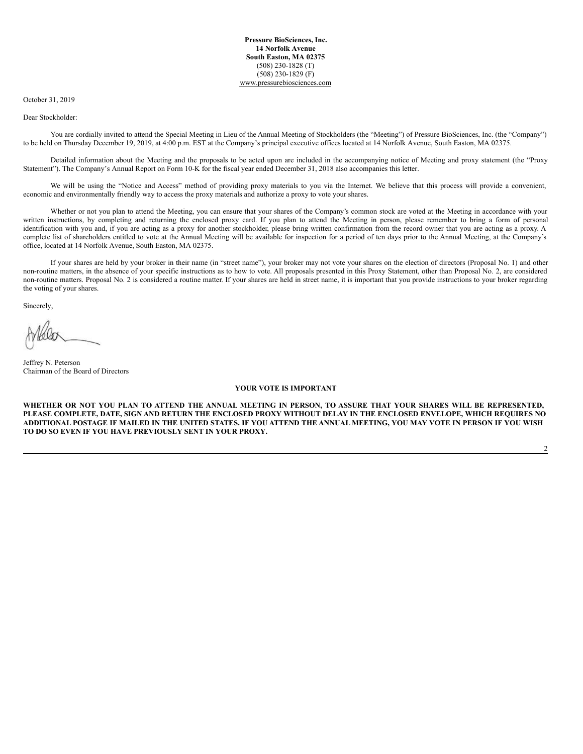#### October 31, 2019

Dear Stockholder:

You are cordially invited to attend the Special Meeting in Lieu of the Annual Meeting of Stockholders (the "Meeting") of Pressure BioSciences, Inc. (the "Company") to be held on Thursday December 19, 2019, at 4:00 p.m. EST at the Company's principal executive offices located at 14 Norfolk Avenue, South Easton, MA 02375.

Detailed information about the Meeting and the proposals to be acted upon are included in the accompanying notice of Meeting and proxy statement (the "Proxy Statement"). The Company's Annual Report on Form 10-K for the fiscal year ended December 31, 2018 also accompanies this letter.

We will be using the "Notice and Access" method of providing proxy materials to you via the Internet. We believe that this process will provide a convenient, economic and environmentally friendly way to access the proxy materials and authorize a proxy to vote your shares.

Whether or not you plan to attend the Meeting, you can ensure that your shares of the Company's common stock are voted at the Meeting in accordance with your written instructions, by completing and returning the enclosed proxy card. If you plan to attend the Meeting in person, please remember to bring a form of personal identification with you and, if you are acting as a proxy for another stockholder, please bring written confirmation from the record owner that you are acting as a proxy. A complete list of shareholders entitled to vote at the Annual Meeting will be available for inspection for a period of ten days prior to the Annual Meeting, at the Company's office, located at 14 Norfolk Avenue, South Easton, MA 02375.

If your shares are held by your broker in their name (in "street name"), your broker may not vote your shares on the election of directors (Proposal No. 1) and other non-routine matters, in the absence of your specific instructions as to how to vote. All proposals presented in this Proxy Statement, other than Proposal No. 2, are considered non-routine matters. Proposal No. 2 is considered a routine matter. If your shares are held in street name, it is important that you provide instructions to your broker regarding the voting of your shares.

Sincerely,

Jeffrey N. Peterson Chairman of the Board of Directors

#### **YOUR VOTE IS IMPORTANT**

WHETHER OR NOT YOU PLAN TO ATTEND THE ANNUAL MEETING IN PERSON, TO ASSURE THAT YOUR SHARES WILL BE REPRESENTED, PLEASE COMPLETE, DATE, SIGN AND RETURN THE ENCLOSED PROXY WITHOUT DELAY IN THE ENCLOSED ENVELOPE, WHICH REQUIRES NO ADDITIONAL POSTAGE IF MAILED IN THE UNITED STATES. IF YOU ATTEND THE ANNUAL MEETING, YOU MAY VOTE IN PERSON IF YOU WISH **TO DO SO EVEN IF YOU HAVE PREVIOUSLY SENT IN YOUR PROXY.**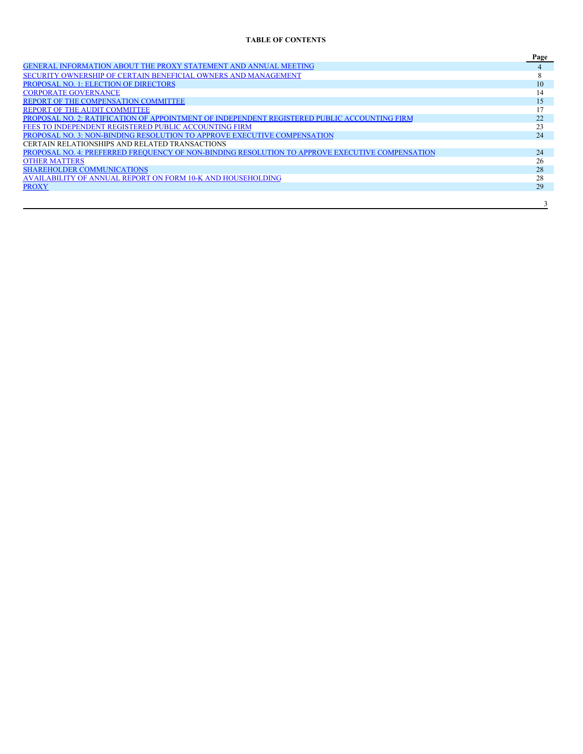## **TABLE OF CONTENTS**

|                                                                                                 | Page |
|-------------------------------------------------------------------------------------------------|------|
| GENERAL INFORMATION ABOUT THE PROXY STATEMENT AND ANNUAL MEETING                                |      |
| SECURITY OWNERSHIP OF CERTAIN BENEFICIAL OWNERS AND MANAGEMENT                                  |      |
| PROPOSAL NO. 1: ELECTION OF DIRECTORS                                                           | 10   |
| <b>CORPORATE GOVERNANCE</b>                                                                     | 14   |
| REPORT OF THE COMPENSATION COMMITTEE                                                            |      |
| REPORT OF THE AUDIT COMMITTEE                                                                   |      |
| PROPOSAL NO. 2: RATIFICATION OF APPOINTMENT OF INDEPENDENT REGISTERED PUBLIC ACCOUNTING FIRM    | 22   |
| FEES TO INDEPENDENT REGISTERED PUBLIC ACCOUNTING FIRM                                           | 23   |
| PROPOSAL NO. 3: NON-BINDING RESOLUTION TO APPROVE EXECUTIVE COMPENSATION                        | 24   |
| CERTAIN RELATIONSHIPS AND RELATED TRANSACTIONS                                                  |      |
| PROPOSAL NO. 4: PREFERRED FREQUENCY OF NON-BINDING RESOLUTION TO APPROVE EXECUTIVE COMPENSATION | 24   |
| <b>OTHER MATTERS</b>                                                                            | 26   |
| <b>SHAREHOLDER COMMUNICATIONS</b>                                                               | 28   |
| AVAILABILITY OF ANNUAL REPORT ON FORM 10-K AND HOUSEHOLDING                                     | 28   |
| PROXY                                                                                           | 29   |
|                                                                                                 |      |
|                                                                                                 |      |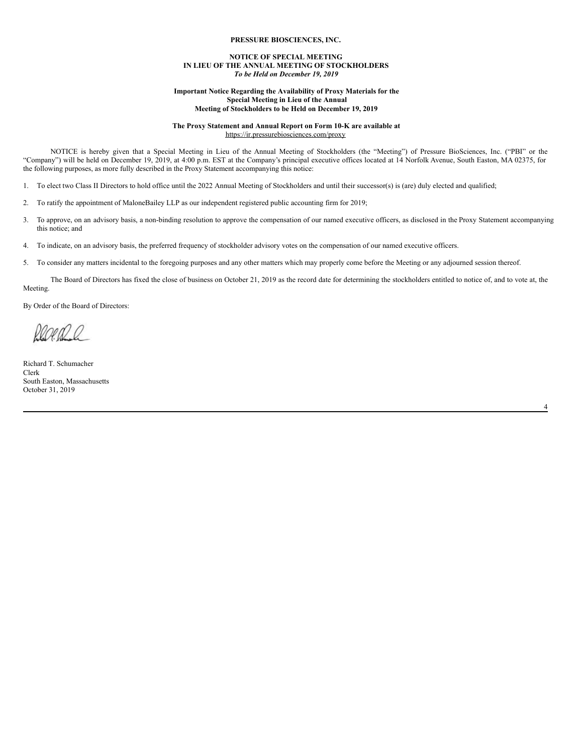#### **PRESSURE BIOSCIENCES, INC.**

## **NOTICE OF SPECIAL MEETING IN LIEU OF THE ANNUAL MEETING OF STOCKHOLDERS** *To be Held on December 19, 2019*

#### <span id="page-3-0"></span>**Important Notice Regarding the Availability of Proxy Materials for the Special Meeting in Lieu of the Annual Meeting of Stockholders to be Held on December 19, 2019**

### **The Proxy Statement and Annual Report on Form 10-K are available at** https://ir.pressurebiosciences.com/proxy

NOTICE is hereby given that a Special Meeting in Lieu of the Annual Meeting of Stockholders (the "Meeting") of Pressure BioSciences, Inc. ("PBI" or the "Company") will be held on December 19, 2019, at 4:00 p.m. EST at the Company's principal executive offices located at 14 Norfolk Avenue, South Easton, MA 02375, for the following purposes, as more fully described in the Proxy Statement accompanying this notice:

- 1. To elect two Class II Directors to hold office until the 2022 Annual Meeting of Stockholders and until their successor(s) is (are) duly elected and qualified;
- 2. To ratify the appointment of MaloneBailey LLP as our independent registered public accounting firm for 2019;
- 3. To approve, on an advisory basis, a non-binding resolution to approve the compensation of our named executive officers, as disclosed in the Proxy Statement accompanying this notice; and
- 4. To indicate, on an advisory basis, the preferred frequency of stockholder advisory votes on the compensation of our named executive officers.
- 5. To consider any matters incidental to the foregoing purposes and any other matters which may properly come before the Meeting or any adjourned session thereof.

The Board of Directors has fixed the close of business on October 21, 2019 as the record date for determining the stockholders entitled to notice of, and to vote at, the Meeting.

4

By Order of the Board of Directors:

20 A V

Richard T. Schumacher Clerk South Easton, Massachusetts October 31, 2019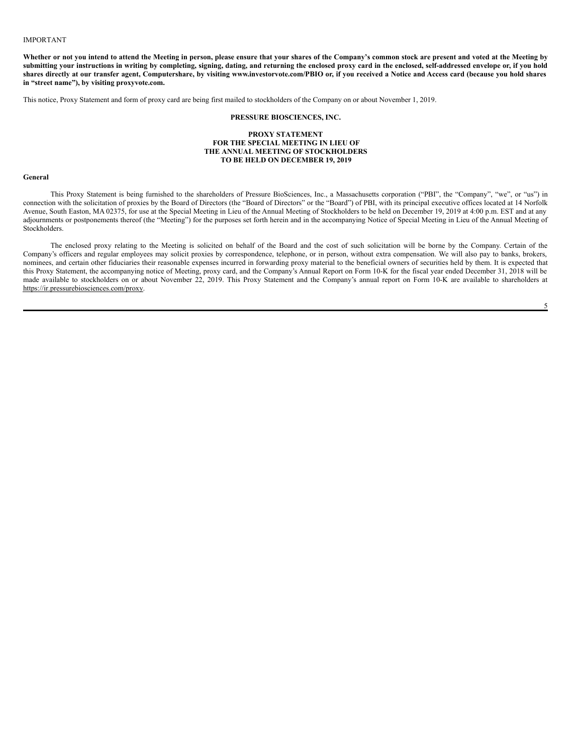#### IMPORTANT

Whether or not you intend to attend the Meeting in person, please ensure that your shares of the Company's common stock are present and voted at the Meeting by submitting your instructions in writing by completing, signing, dating, and returning the enclosed proxy card in the enclosed, self-addressed envelope or, if you hold shares directly at our transfer agent, Computershare, by visiting www.investorvote.com/PBIO or, if you received a Notice and Access card (because you hold shares **in "street name"), by visiting proxyvote.com.**

This notice, Proxy Statement and form of proxy card are being first mailed to stockholders of the Company on or about November 1, 2019.

## **PRESSURE BIOSCIENCES, INC.**

#### **PROXY STATEMENT FOR THE SPECIAL MEETING IN LIEU OF THE ANNUAL MEETING OF STOCKHOLDERS TO BE HELD ON DECEMBER 19, 2019**

#### **General**

This Proxy Statement is being furnished to the shareholders of Pressure BioSciences, Inc., a Massachusetts corporation ("PBI", the "Company", "we", or "us") in connection with the solicitation of proxies by the Board of Directors (the "Board of Directors" or the "Board") of PBI, with its principal executive offices located at 14 Norfolk Avenue, South Easton, MA 02375, for use at the Special Meeting in Lieu of the Annual Meeting of Stockholders to be held on December 19, 2019 at 4:00 p.m. EST and at any adjournments or postponements thereof (the "Meeting") for the purposes set forth herein and in the accompanying Notice of Special Meeting in Lieu of the Annual Meeting of Stockholders.

The enclosed proxy relating to the Meeting is solicited on behalf of the Board and the cost of such solicitation will be borne by the Company. Certain of the Company's officers and regular employees may solicit proxies by correspondence, telephone, or in person, without extra compensation. We will also pay to banks, brokers, nominees, and certain other fiduciaries their reasonable expenses incurred in forwarding proxy material to the beneficial owners of securities held by them. It is expected that this Proxy Statement, the accompanying notice of Meeting, proxy card, and the Company's Annual Report on Form 10-K for the fiscal year ended December 31, 2018 will be made available to stockholders on or about November 22, 2019. This Proxy Statement and the Company's annual report on Form 10-K are available to shareholders at https://ir.pressurebiosciences.com/proxy.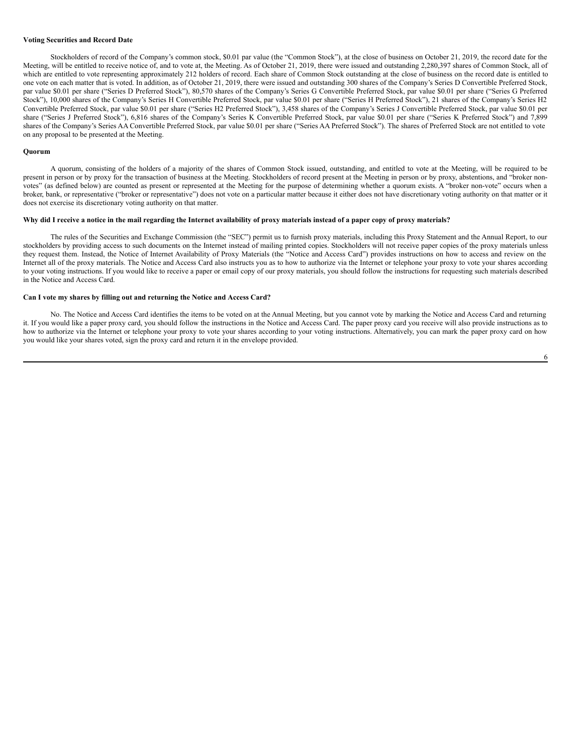## **Voting Securities and Record Date**

Stockholders of record of the Company's common stock, \$0.01 par value (the "Common Stock"), at the close of business on October 21, 2019, the record date for the Meeting, will be entitled to receive notice of, and to vote at, the Meeting. As of October 21, 2019, there were issued and outstanding 2,280,397 shares of Common Stock, all of which are entitled to vote representing approximately 212 holders of record. Each share of Common Stock outstanding at the close of business on the record date is entitled to one vote on each matter that is voted. In addition, as of October 21, 2019, there were issued and outstanding 300 shares of the Company's Series D Convertible Preferred Stock, par value \$0.01 per share ("Series D Preferred Stock"), 80,570 shares of the Company's Series G Convertible Preferred Stock, par value \$0.01 per share ("Series G Preferred Stock"), 10,000 shares of the Company's Series H Convertible Preferred Stock, par value \$0.01 per share ("Series H Preferred Stock"), 21 shares of the Company's Series H2 Convertible Preferred Stock, par value \$0.01 per share ("Series H2 Preferred Stock"), 3,458 shares of the Company's Series J Convertible Preferred Stock, par value \$0.01 per share ("Series J Preferred Stock"), 6,816 shares of the Company's Series K Convertible Preferred Stock, par value \$0.01 per share ("Series K Preferred Stock") and 7,899 shares of the Company's Series AA Convertible Preferred Stock, par value \$0.01 per share ("Series AA Preferred Stock"). The shares of Preferred Stock are not entitled to vote on any proposal to be presented at the Meeting.

#### **Quorum**

A quorum, consisting of the holders of a majority of the shares of Common Stock issued, outstanding, and entitled to vote at the Meeting, will be required to be present in person or by proxy for the transaction of business at the Meeting. Stockholders of record present at the Meeting in person or by proxy, abstentions, and "broker nonvotes" (as defined below) are counted as present or represented at the Meeting for the purpose of determining whether a quorum exists. A "broker non-vote" occurs when a broker, bank, or representative ("broker or representative") does not vote on a particular matter because it either does not have discretionary voting authority on that matter or it does not exercise its discretionary voting authority on that matter.

## Why did I receive a notice in the mail regarding the Internet availability of proxy materials instead of a paper copy of proxy materials?

The rules of the Securities and Exchange Commission (the "SEC") permit us to furnish proxy materials, including this Proxy Statement and the Annual Report, to our stockholders by providing access to such documents on the Internet instead of mailing printed copies. Stockholders will not receive paper copies of the proxy materials unless they request them. Instead, the Notice of Internet Availability of Proxy Materials (the "Notice and Access Card") provides instructions on how to access and review on the Internet all of the proxy materials. The Notice and Access Card also instructs you as to how to authorize via the Internet or telephone your proxy to vote your shares according to your voting instructions. If you would like to receive a paper or email copy of our proxy materials, you should follow the instructions for requesting such materials described in the Notice and Access Card.

## **Can I vote my shares by filling out and returning the Notice and Access Card?**

No. The Notice and Access Card identifies the items to be voted on at the Annual Meeting, but you cannot vote by marking the Notice and Access Card and returning it. If you would like a paper proxy card, you should follow the instructions in the Notice and Access Card. The paper proxy card you receive will also provide instructions as to how to authorize via the Internet or telephone your proxy to vote your shares according to your voting instructions. Alternatively, you can mark the paper proxy card on how you would like your shares voted, sign the proxy card and return it in the envelope provided.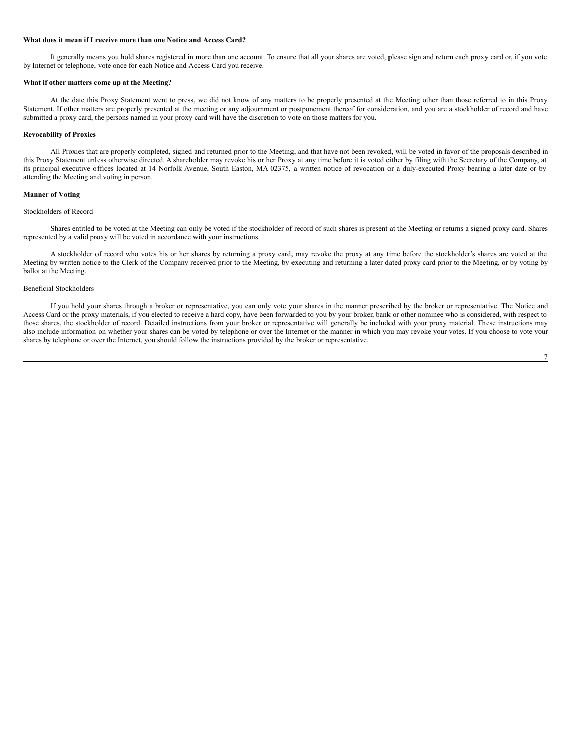## **What does it mean if I receive more than one Notice and Access Card?**

It generally means you hold shares registered in more than one account. To ensure that all your shares are voted, please sign and return each proxy card or, if you vote by Internet or telephone, vote once for each Notice and Access Card you receive.

## **What if other matters come up at the Meeting?**

At the date this Proxy Statement went to press, we did not know of any matters to be properly presented at the Meeting other than those referred to in this Proxy Statement. If other matters are properly presented at the meeting or any adjournment or postponement thereof for consideration, and you are a stockholder of record and have submitted a proxy card, the persons named in your proxy card will have the discretion to vote on those matters for you.

#### **Revocability of Proxies**

All Proxies that are properly completed, signed and returned prior to the Meeting, and that have not been revoked, will be voted in favor of the proposals described in this Proxy Statement unless otherwise directed. A shareholder may revoke his or her Proxy at any time before it is voted either by filing with the Secretary of the Company, at its principal executive offices located at 14 Norfolk Avenue, South Easton, MA 02375, a written notice of revocation or a duly-executed Proxy bearing a later date or by attending the Meeting and voting in person.

## **Manner of Voting**

## Stockholders of Record

Shares entitled to be voted at the Meeting can only be voted if the stockholder of record of such shares is present at the Meeting or returns a signed proxy card. Shares represented by a valid proxy will be voted in accordance with your instructions.

A stockholder of record who votes his or her shares by returning a proxy card, may revoke the proxy at any time before the stockholder's shares are voted at the Meeting by written notice to the Clerk of the Company received prior to the Meeting, by executing and returning a later dated proxy card prior to the Meeting, or by voting by ballot at the Meeting.

## Beneficial Stockholders

If you hold your shares through a broker or representative, you can only vote your shares in the manner prescribed by the broker or representative. The Notice and Access Card or the proxy materials, if you elected to receive a hard copy, have been forwarded to you by your broker, bank or other nominee who is considered, with respect to those shares, the stockholder of record. Detailed instructions from your broker or representative will generally be included with your proxy material. These instructions may also include information on whether your shares can be voted by telephone or over the Internet or the manner in which you may revoke your votes. If you choose to vote your shares by telephone or over the Internet, you should follow the instructions provided by the broker or representative.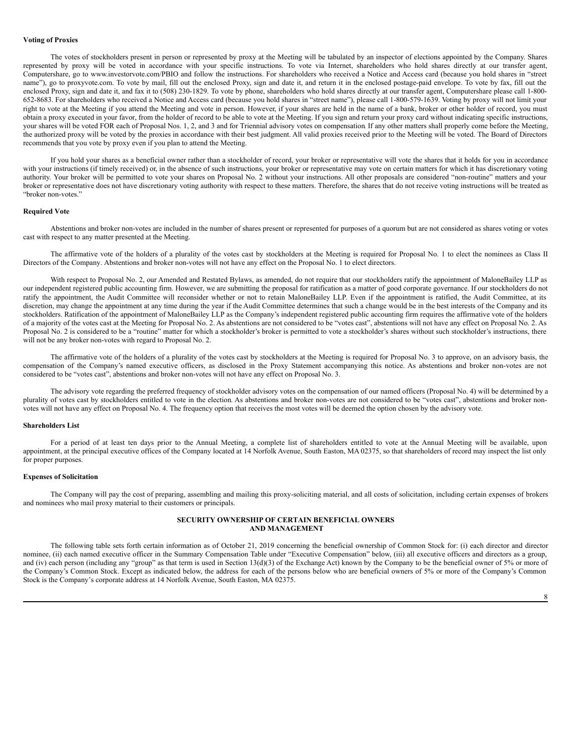## **Voting of Proxies**

The votes of stockholders present in person or represented by proxy at the Meeting will be tabulated by an inspector of elections appointed by the Company. Shares represented by proxy will be voted in accordance with your specific instructions. To vote via Internet, shareholders who hold shares directly at our transfer agent, Computershare, go to www.investorvote.com/PBIO and follow the instructions. For shareholders who received a Notice and Access card (because you hold shares in "street name"), go to proxyvote.com. To vote by mail, fill out the enclosed Proxy, sign and date it, and return it in the enclosed postage-paid envelope. To vote by fax, fill out the enclosed Proxy, sign and date it, and fax it to (508) 230-1829. To vote by phone, shareholders who hold shares directly at our transfer agent, Computershare please call 1-800-652-8683. For shareholders who received a Notice and Access card (because you hold shares in "street name"), please call 1-800-579-1639. Voting by proxy will not limit your right to vote at the Meeting if you attend the Meeting and vote in person. However, if your shares are held in the name of a bank, broker or other holder of record, you must obtain a proxy executed in your favor, from the holder of record to be able to vote at the Meeting. If you sign and return your proxy card without indicating specific instructions, your shares will be voted FOR each of Proposal Nos. 1, 2, and 3 and for Triennial advisory votes on compensation. If any other matters shall properly come before the Meeting, the authorized proxy will be voted by the proxies in accordance with their best judgment. All valid proxies received prior to the Meeting will be voted. The Board of Directors recommends that you vote by proxy even if you plan to attend the Meeting.

If you hold your shares as a beneficial owner rather than a stockholder of record, your broker or representative will vote the shares that it holds for you in accordance with your instructions (if timely received) or, in the absence of such instructions, your broker or representative may vote on certain matters for which it has discretionary voting authority. Your broker will be permitted to vote your shares on Proposal No. 2 without your instructions. All other proposals are considered "non-routine" matters and your broker or representative does not have discretionary voting authority with respect to these matters. Therefore, the shares that do not receive voting instructions will be treated as "broker non-votes."

#### **Required Vote**

Abstentions and broker non-votes are included in the number of shares present or represented for purposes of a quorum but are not considered as shares voting or votes cast with respect to any matter presented at the Meeting.

The affirmative vote of the holders of a plurality of the votes cast by stockholders at the Meeting is required for Proposal No. 1 to elect the nominees as Class II Directors of the Company. Abstentions and broker non-votes will not have any effect on the Proposal No. 1 to elect directors.

With respect to Proposal No. 2, our Amended and Restated Bylaws, as amended, do not require that our stockholders ratify the appointment of MaloneBailey LLP as our independent registered public accounting firm. However, we are submitting the proposal for ratification as a matter of good corporate governance. If our stockholders do not ratify the appointment, the Audit Committee will reconsider whether or not to retain MaloneBailey LLP. Even if the appointment is ratified, the Audit Committee, at its discretion, may change the appointment at any time during the year if the Audit Committee determines that such a change would be in the best interests of the Company and its stockholders. Ratification of the appointment of MaloneBailey LLP as the Company's independent registered public accounting firm requires the affirmative vote of the holders of a majority of the votes cast at the Meeting for Proposal No. 2. As abstentions are not considered to be "votes cast", abstentions will not have any effect on Proposal No. 2. As Proposal No. 2 is considered to be a "routine" matter for which a stockholder's broker is permitted to vote a stockholder's shares without such stockholder's instructions, there will not be any broker non-votes with regard to Proposal No. 2.

The affirmative vote of the holders of a plurality of the votes cast by stockholders at the Meeting is required for Proposal No. 3 to approve, on an advisory basis, the compensation of the Company's named executive officers, as disclosed in the Proxy Statement accompanying this notice. As abstentions and broker non-votes are not considered to be "votes cast", abstentions and broker non-votes will not have any effect on Proposal No. 3.

The advisory vote regarding the preferred frequency of stockholder advisory votes on the compensation of our named officers (Proposal No. 4) will be determined by a plurality of votes cast by stockholders entitled to vote in the election. As abstentions and broker non-votes are not considered to be "votes cast", abstentions and broker nonvotes will not have any effect on Proposal No. 4. The frequency option that receives the most votes will be deemed the option chosen by the advisory vote.

#### **Shareholders List**

For a period of at least ten days prior to the Annual Meeting, a complete list of shareholders entitled to vote at the Annual Meeting will be available, upon appointment, at the principal executive offices of the Company located at 14 Norfolk Avenue, South Easton, MA 02375, so that shareholders of record may inspect the list only for proper purposes.

## **Expenses of Solicitation**

The Company will pay the cost of preparing, assembling and mailing this proxy-soliciting material, and all costs of solicitation, including certain expenses of brokers and nominees who mail proxy material to their customers or principals.

## <span id="page-7-0"></span>**SECURITY OWNERSHIP OF CERTAIN BENEFICIAL OWNERS AND MANAGEMENT**

The following table sets forth certain information as of October 21, 2019 concerning the beneficial ownership of Common Stock for: (i) each director and director nominee, (ii) each named executive officer in the Summary Compensation Table under "Executive Compensation" below, (iii) all executive officers and directors as a group, and (iv) each person (including any "group" as that term is used in Section  $13(d)(3)$  of the Exchange Act) known by the Company to be the beneficial owner of 5% or more of the Company's Common Stock. Except as indicated below, the address for each of the persons below who are beneficial owners of 5% or more of the Company's Common Stock is the Company's corporate address at 14 Norfolk Avenue, South Easton, MA 02375.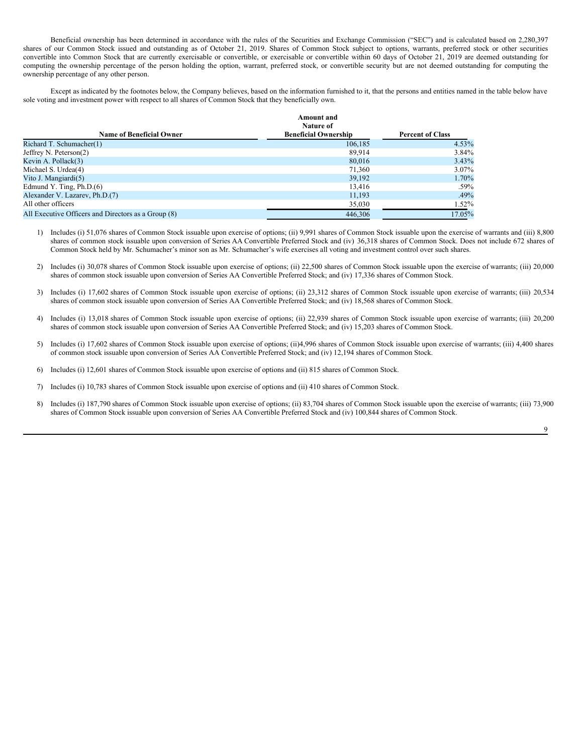Beneficial ownership has been determined in accordance with the rules of the Securities and Exchange Commission ("SEC") and is calculated based on 2,280,397 shares of our Common Stock issued and outstanding as of October 21, 2019. Shares of Common Stock subject to options, warrants, preferred stock or other securities convertible into Common Stock that are currently exercisable or convertible, or exercisable or convertible within 60 days of October 21, 2019 are deemed outstanding for computing the ownership percentage of the person holding the option, warrant, preferred stock, or convertible security but are not deemed outstanding for computing the ownership percentage of any other person.

Except as indicated by the footnotes below, the Company believes, based on the information furnished to it, that the persons and entities named in the table below have sole voting and investment power with respect to all shares of Common Stock that they beneficially own.

|                                                     | <b>Amount</b> and<br>Nature of |                         |
|-----------------------------------------------------|--------------------------------|-------------------------|
| <b>Name of Beneficial Owner</b>                     | <b>Beneficial Ownership</b>    | <b>Percent of Class</b> |
| Richard T. Schumacher(1)                            | 106,185                        | 4.53%                   |
| Jeffrey N. Peterson $(2)$                           | 89,914                         | 3.84%                   |
| Kevin A. Pollack(3)                                 | 80,016                         | 3.43%                   |
| Michael S. Urdea(4)                                 | 71.360                         | $3.07\%$                |
| Vito J. Mangiardi(5)                                | 39,192                         | 1.70%                   |
| Edmund Y. Ting, $Ph.D.(6)$                          | 13.416                         | $.59\%$                 |
| Alexander V. Lazarev, Ph.D.(7)                      | 11,193                         | .49%                    |
| All other officers                                  | 35,030                         | $1.52\%$                |
| All Executive Officers and Directors as a Group (8) | 446,306                        | 17.05%                  |

1) Includes (i) 51,076 shares of Common Stock issuable upon exercise of options; (ii) 9,991 shares of Common Stock issuable upon the exercise of warrants and (iii) 8,800 shares of common stock issuable upon conversion of Series AA Convertible Preferred Stock and (iv) 36,318 shares of Common Stock. Does not include 672 shares of Common Stock held by Mr. Schumacher's minor son as Mr. Schumacher's wife exercises all voting and investment control over such shares.

2) Includes (i) 30,078 shares of Common Stock issuable upon exercise of options; (ii) 22,500 shares of Common Stock issuable upon the exercise of warrants; (iii) 20,000 shares of common stock issuable upon conversion of Series AA Convertible Preferred Stock; and (iv) 17,336 shares of Common Stock.

3) Includes (i) 17,602 shares of Common Stock issuable upon exercise of options; (ii) 23,312 shares of Common Stock issuable upon exercise of warrants; (iii) 20,534 shares of common stock issuable upon conversion of Series AA Convertible Preferred Stock; and (iv) 18,568 shares of Common Stock.

4) Includes (i) 13,018 shares of Common Stock issuable upon exercise of options; (ii) 22,939 shares of Common Stock issuable upon exercise of warrants; (iii) 20,200 shares of common stock issuable upon conversion of Series AA Convertible Preferred Stock; and (iv) 15,203 shares of Common Stock.

5) Includes (i) 17,602 shares of Common Stock issuable upon exercise of options; (ii)4,996 shares of Common Stock issuable upon exercise of warrants; (iii) 4,400 shares of common stock issuable upon conversion of Series AA Convertible Preferred Stock; and (iv) 12,194 shares of Common Stock.

6) Includes (i) 12,601 shares of Common Stock issuable upon exercise of options and (ii) 815 shares of Common Stock.

7) Includes (i) 10,783 shares of Common Stock issuable upon exercise of options and (ii) 410 shares of Common Stock.

8) Includes (i) 187,790 shares of Common Stock issuable upon exercise of options; (ii) 83,704 shares of Common Stock issuable upon the exercise of warrants; (iii) 73,900 shares of Common Stock issuable upon conversion of Series AA Convertible Preferred Stock and (iv) 100,844 shares of Common Stock.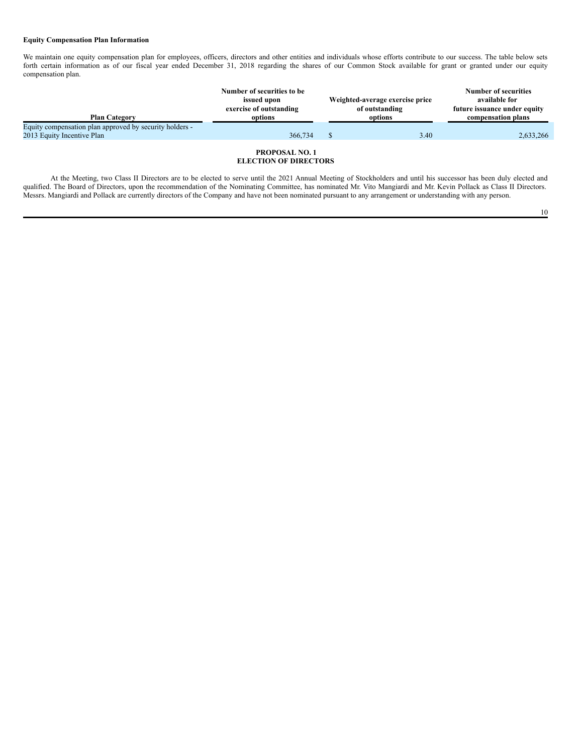## **Equity Compensation Plan Information**

We maintain one equity compensation plan for employees, officers, directors and other entities and individuals whose efforts contribute to our success. The table below sets forth certain information as of our fiscal year ended December 31, 2018 regarding the shares of our Common Stock available for grant or granted under our equity compensation plan.

|                                                         | Number of securities to be<br>issued upon<br>exercise of outstanding | Weighted-average exercise price<br>of outstanding |         | <b>Number of securities</b><br>available for<br>future issuance under equity |  |
|---------------------------------------------------------|----------------------------------------------------------------------|---------------------------------------------------|---------|------------------------------------------------------------------------------|--|
| <b>Plan Category</b>                                    | options                                                              |                                                   | options | compensation plans                                                           |  |
| Equity compensation plan approved by security holders - |                                                                      |                                                   |         |                                                                              |  |
| 2013 Equity Incentive Plan                              | 366,734                                                              |                                                   | 3.40    | 2,633,266                                                                    |  |
|                                                         |                                                                      |                                                   |         |                                                                              |  |

## <span id="page-9-0"></span>**PROPOSAL NO. 1 ELECTION OF DIRECTORS**

At the Meeting, two Class II Directors are to be elected to serve until the 2021 Annual Meeting of Stockholders and until his successor has been duly elected and qualified. The Board of Directors, upon the recommendation of the Nominating Committee, has nominated Mr. Vito Mangiardi and Mr. Kevin Pollack as Class II Directors. Messrs. Mangiardi and Pollack are currently directors of the Company and have not been nominated pursuant to any arrangement or understanding with any person.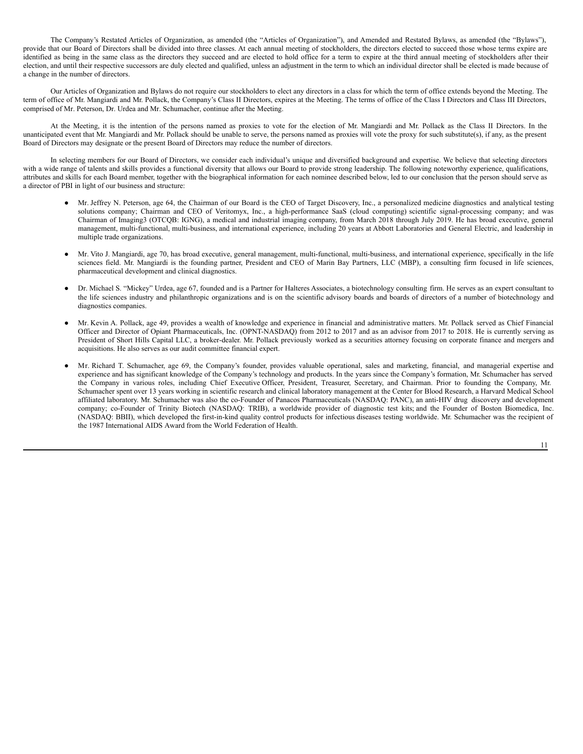The Company's Restated Articles of Organization, as amended (the "Articles of Organization"), and Amended and Restated Bylaws, as amended (the "Bylaws"), provide that our Board of Directors shall be divided into three classes. At each annual meeting of stockholders, the directors elected to succeed those whose terms expire are identified as being in the same class as the directors they succeed and are elected to hold office for a term to expire at the third annual meeting of stockholders after their election, and until their respective successors are duly elected and qualified, unless an adjustment in the term to which an individual director shall be elected is made because of a change in the number of directors.

Our Articles of Organization and Bylaws do not require our stockholders to elect any directors in a class for which the term of office extends beyond the Meeting. The term of office of Mr. Mangiardi and Mr. Pollack, the Company's Class II Directors, expires at the Meeting. The terms of office of the Class I Directors and Class III Directors, comprised of Mr. Peterson, Dr. Urdea and Mr. Schumacher, continue after the Meeting.

At the Meeting, it is the intention of the persons named as proxies to vote for the election of Mr. Mangiardi and Mr. Pollack as the Class II Directors. In the unanticipated event that Mr. Mangiardi and Mr. Pollack should be unable to serve, the persons named as proxies will vote the proxy for such substitute(s), if any, as the present Board of Directors may designate or the present Board of Directors may reduce the number of directors.

In selecting members for our Board of Directors, we consider each individual's unique and diversified background and expertise. We believe that selecting directors with a wide range of talents and skills provides a functional diversity that allows our Board to provide strong leadership. The following noteworthy experience, qualifications, attributes and skills for each Board member, together with the biographical information for each nominee described below, led to our conclusion that the person should serve as a director of PBI in light of our business and structure:

- Mr. Jeffrey N. Peterson, age 64, the Chairman of our Board is the CEO of Target Discovery, Inc., a personalized medicine diagnostics and analytical testing solutions company; Chairman and CEO of Veritomyx, Inc., a high-performance SaaS (cloud computing) scientific signal-processing company; and was Chairman of Imaging3 (OTCQB: IGNG), a medical and industrial imaging company, from March 2018 through July 2019. He has broad executive, general management, multi-functional, multi-business, and international experience, including 20 years at Abbott Laboratories and General Electric, and leadership in multiple trade organizations.
- Mr. Vito J. Mangiardi, age 70, has broad executive, general management, multi-functional, multi-business, and international experience, specifically in the life sciences field. Mr. Mangiardi is the founding partner, President and CEO of Marin Bay Partners, LLC (MBP), a consulting firm focused in life sciences, pharmaceutical development and clinical diagnostics.
- Dr. Michael S. "Mickey" Urdea, age 67, founded and is a Partner for Halteres Associates, a biotechnology consulting firm. He serves as an expert consultant to the life sciences industry and philanthropic organizations and is on the scientific advisory boards and boards of directors of a number of biotechnology and diagnostics companies.
- Mr. Kevin A. Pollack, age 49, provides a wealth of knowledge and experience in financial and administrative matters. Mr. Pollack served as Chief Financial Officer and Director of Opiant Pharmaceuticals, Inc. (OPNT-NASDAQ) from 2012 to 2017 and as an advisor from 2017 to 2018. He is currently serving as President of Short Hills Capital LLC, a broker-dealer. Mr. Pollack previously worked as a securities attorney focusing on corporate finance and mergers and acquisitions. He also serves as our audit committee financial expert.
- Mr. Richard T. Schumacher, age 69, the Company's founder, provides valuable operational, sales and marketing, financial, and managerial expertise and experience and has significant knowledge of the Company's technology and products. In the years since the Company's formation, Mr. Schumacher has served the Company in various roles, including Chief Executive Officer, President, Treasurer, Secretary, and Chairman. Prior to founding the Company, Mr. Schumacher spent over 13 years working in scientific research and clinical laboratory management at the Center for Blood Research, a Harvard Medical School affiliated laboratory. Mr. Schumacher was also the co-Founder of Panacos Pharmaceuticals (NASDAQ: PANC), an anti-HIV drug discovery and development company; co-Founder of Trinity Biotech (NASDAQ: TRIB), a worldwide provider of diagnostic test kits; and the Founder of Boston Biomedica, Inc. (NASDAQ: BBII), which developed the first-in-kind quality control products for infectious diseases testing worldwide. Mr. Schumacher was the recipient of the 1987 International AIDS Award from the World Federation of Health.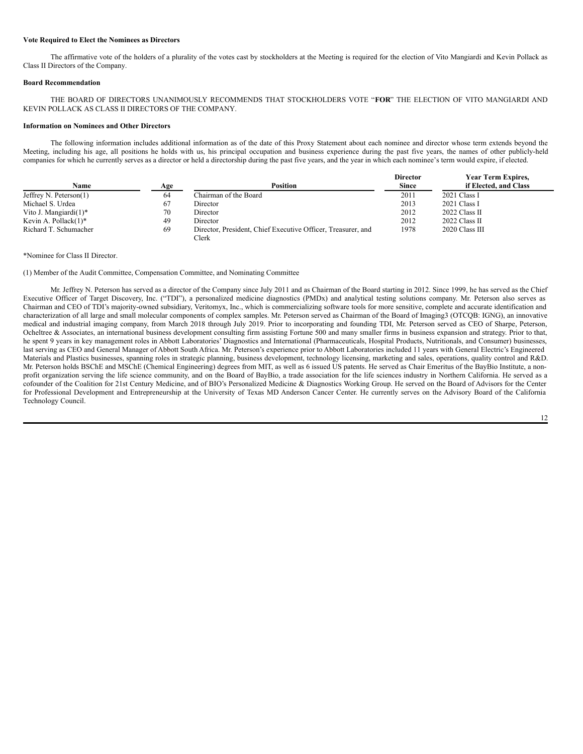## **Vote Required to Elect the Nominees as Directors**

The affirmative vote of the holders of a plurality of the votes cast by stockholders at the Meeting is required for the election of Vito Mangiardi and Kevin Pollack as Class II Directors of the Company.

## **Board Recommendation**

THE BOARD OF DIRECTORS UNANIMOUSLY RECOMMENDS THAT STOCKHOLDERS VOTE "**FOR**" THE ELECTION OF VITO MANGIARDI AND KEVIN POLLACK AS CLASS II DIRECTORS OF THE COMPANY.

## **Information on Nominees and Other Directors**

The following information includes additional information as of the date of this Proxy Statement about each nominee and director whose term extends beyond the Meeting, including his age, all positions he holds with us, his principal occupation and business experience during the past five years, the names of other publicly-held companies for which he currently serves as a director or held a directorship during the past five years, and the year in which each nominee's term would expire, if elected.

|                           |     |                                                                       | <b>Director</b> | Year Term Expires,    |
|---------------------------|-----|-----------------------------------------------------------------------|-----------------|-----------------------|
| Name                      | Age | Position                                                              | <b>Since</b>    | if Elected, and Class |
| Jeffrey N. Peterson $(1)$ | 64  | Chairman of the Board                                                 | 2011            | $2021$ Class I        |
| Michael S. Urdea          | 67  | Director                                                              | 2013            | 2021 Class I          |
| Vito J. Mangiardi $(1)^*$ | 70  | Director                                                              | 2012            | 2022 Class II         |
| Kevin A. Pollack $(1)^*$  | 49  | Director                                                              | 2012            | 2022 Class II         |
| Richard T. Schumacher     | 69  | Director, President, Chief Executive Officer, Treasurer, and<br>Clerk | 1978            | 2020 Class III        |

## \*Nominee for Class II Director.

(1) Member of the Audit Committee, Compensation Committee, and Nominating Committee

Mr. Jeffrey N. Peterson has served as a director of the Company since July 2011 and as Chairman of the Board starting in 2012. Since 1999, he has served as the Chief Executive Officer of Target Discovery, Inc. ("TDI"), a personalized medicine diagnostics (PMDx) and analytical testing solutions company. Mr. Peterson also serves as Chairman and CEO of TDI's majority-owned subsidiary, Veritomyx, Inc., which is commercializing software tools for more sensitive, complete and accurate identification and characterization of all large and small molecular components of complex samples. Mr. Peterson served as Chairman of the Board of Imaging3 (OTCQB: IGNG), an innovative medical and industrial imaging company, from March 2018 through July 2019. Prior to incorporating and founding TDI, Mr. Peterson served as CEO of Sharpe, Peterson, Ocheltree & Associates, an international business development consulting firm assisting Fortune 500 and many smaller firms in business expansion and strategy. Prior to that, he spent 9 years in key management roles in Abbott Laboratories' Diagnostics and International (Pharmaceuticals, Hospital Products, Nutritionals, and Consumer) businesses, last serving as CEO and General Manager of Abbott South Africa. Mr. Peterson's experience prior to Abbott Laboratories included 11 years with General Electric's Engineered Materials and Plastics businesses, spanning roles in strategic planning, business development, technology licensing, marketing and sales, operations, quality control and R&D. Mr. Peterson holds BSChE and MSChE (Chemical Engineering) degrees from MIT, as well as 6 issued US patents. He served as Chair Emeritus of the BayBio Institute, a nonprofit organization serving the life science community, and on the Board of BayBio, a trade association for the life sciences industry in Northern California. He served as a cofounder of the Coalition for 21st Century Medicine, and of BIO's Personalized Medicine & Diagnostics Working Group. He served on the Board of Advisors for the Center for Professional Development and Entrepreneurship at the University of Texas MD Anderson Cancer Center. He currently serves on the Advisory Board of the California Technology Council.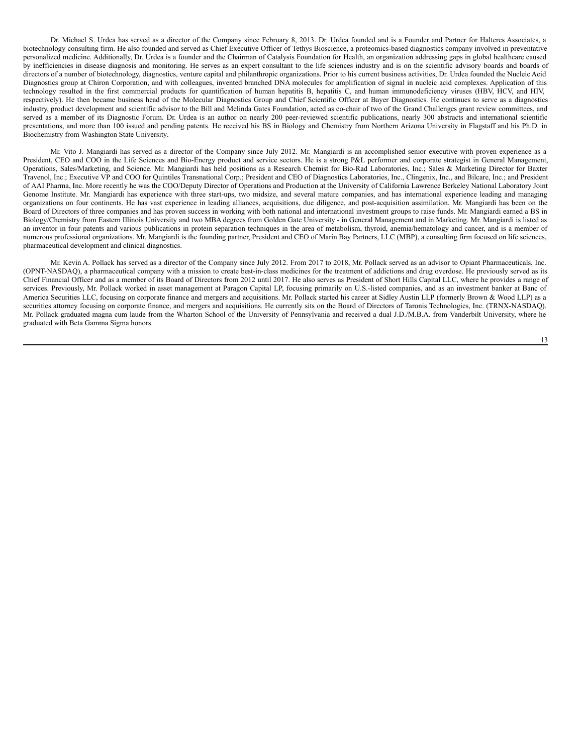Dr. Michael S. Urdea has served as a director of the Company since February 8, 2013. Dr. Urdea founded and is a Founder and Partner for Halteres Associates, a biotechnology consulting firm. He also founded and served as Chief Executive Officer of Tethys Bioscience, a proteomics-based diagnostics company involved in preventative personalized medicine. Additionally, Dr. Urdea is a founder and the Chairman of Catalysis Foundation for Health, an organization addressing gaps in global healthcare caused by inefficiencies in disease diagnosis and monitoring. He serves as an expert consultant to the life sciences industry and is on the scientific advisory boards and boards of directors of a number of biotechnology, diagnostics, venture capital and philanthropic organizations. Prior to his current business activities, Dr. Urdea founded the Nucleic Acid Diagnostics group at Chiron Corporation, and with colleagues, invented branched DNA molecules for amplification of signal in nucleic acid complexes. Application of this technology resulted in the first commercial products for quantification of human hepatitis B, hepatitis C, and human immunodeficiency viruses (HBV, HCV, and HIV, respectively). He then became business head of the Molecular Diagnostics Group and Chief Scientific Officer at Bayer Diagnostics. He continues to serve as a diagnostics industry, product development and scientific advisor to the Bill and Melinda Gates Foundation, acted as co-chair of two of the Grand Challenges grant review committees, and served as a member of its Diagnostic Forum. Dr. Urdea is an author on nearly 200 peer-reviewed scientific publications, nearly 300 abstracts and international scientific presentations, and more than 100 issued and pending patents. He received his BS in Biology and Chemistry from Northern Arizona University in Flagstaff and his Ph.D. in Biochemistry from Washington State University.

Mr. Vito J. Mangiardi has served as a director of the Company since July 2012. Mr. Mangiardi is an accomplished senior executive with proven experience as a President, CEO and COO in the Life Sciences and Bio-Energy product and service sectors. He is a strong P&L performer and corporate strategist in General Management, Operations, Sales/Marketing, and Science. Mr. Mangiardi has held positions as a Research Chemist for Bio-Rad Laboratories, Inc.; Sales & Marketing Director for Baxter Travenol, Inc.; Executive VP and COO for Quintiles Transnational Corp.; President and CEO of Diagnostics Laboratories, Inc., Clingenix, Inc., and Bilcare, Inc.; and President of AAI Pharma, Inc. More recently he was the COO/Deputy Director of Operations and Production at the University of California Lawrence Berkeley National Laboratory Joint Genome Institute. Mr. Mangiardi has experience with three start-ups, two midsize, and several mature companies, and has international experience leading and managing organizations on four continents. He has vast experience in leading alliances, acquisitions, due diligence, and post-acquisition assimilation. Mr. Mangiardi has been on the Board of Directors of three companies and has proven success in working with both national and international investment groups to raise funds. Mr. Mangiardi earned a BS in Biology/Chemistry from Eastern Illinois University and two MBA degrees from Golden Gate University - in General Management and in Marketing. Mr. Mangiardi is listed as an inventor in four patents and various publications in protein separation techniques in the area of metabolism, thyroid, anemia/hematology and cancer, and is a member of numerous professional organizations. Mr. Mangiardi is the founding partner, President and CEO of Marin Bay Partners, LLC (MBP), a consulting firm focused on life sciences, pharmaceutical development and clinical diagnostics.

Mr. Kevin A. Pollack has served as a director of the Company since July 2012. From 2017 to 2018, Mr. Pollack served as an advisor to Opiant Pharmaceuticals, Inc. (OPNT-NASDAQ), a pharmaceutical company with a mission to create best-in-class medicines for the treatment of addictions and drug overdose. He previously served as its Chief Financial Officer and as a member of its Board of Directors from 2012 until 2017. He also serves as President of Short Hills Capital LLC, where he provides a range of services. Previously, Mr. Pollack worked in asset management at Paragon Capital LP, focusing primarily on U.S.-listed companies, and as an investment banker at Banc of America Securities LLC, focusing on corporate finance and mergers and acquisitions. Mr. Pollack started his career at Sidley Austin LLP (formerly Brown & Wood LLP) as a securities attorney focusing on corporate finance, and mergers and acquisitions. He currently sits on the Board of Directors of Taronis Technologies, Inc. (TRNX-NASDAQ). Mr. Pollack graduated magna cum laude from the Wharton School of the University of Pennsylvania and received a dual J.D./M.B.A. from Vanderbilt University, where he graduated with Beta Gamma Sigma honors.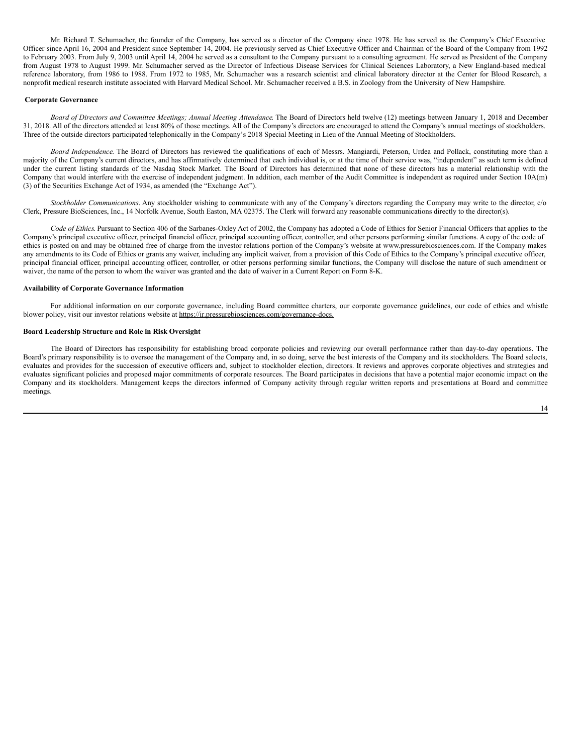Mr. Richard T. Schumacher, the founder of the Company, has served as a director of the Company since 1978. He has served as the Company's Chief Executive Officer since April 16, 2004 and President since September 14, 2004. He previously served as Chief Executive Officer and Chairman of the Board of the Company from 1992 to February 2003. From July 9, 2003 until April 14, 2004 he served as a consultant to the Company pursuant to a consulting agreement. He served as President of the Company from August 1978 to August 1999. Mr. Schumacher served as the Director of Infectious Disease Services for Clinical Sciences Laboratory, a New England-based medical reference laboratory, from 1986 to 1988. From 1972 to 1985, Mr. Schumacher was a research scientist and clinical laboratory director at the Center for Blood Research, a nonprofit medical research institute associated with Harvard Medical School. Mr. Schumacher received a B.S. in Zoology from the University of New Hampshire.

#### <span id="page-13-0"></span>**Corporate Governance**

*Board of Directors and Committee Meetings; Annual Meeting Attendance*. The Board of Directors held twelve (12) meetings between January 1, 2018 and December 31, 2018. All of the directors attended at least 80% of those meetings. All of the Company's directors are encouraged to attend the Company's annual meetings of stockholders. Three of the outside directors participated telephonically in the Company's 2018 Special Meeting in Lieu of the Annual Meeting of Stockholders.

*Board Independence*. The Board of Directors has reviewed the qualifications of each of Messrs. Mangiardi, Peterson, Urdea and Pollack, constituting more than a majority of the Company's current directors, and has affirmatively determined that each individual is, or at the time of their service was, "independent" as such term is defined under the current listing standards of the Nasdaq Stock Market. The Board of Directors has determined that none of these directors has a material relationship with the Company that would interfere with the exercise of independent judgment. In addition, each member of the Audit Committee is independent as required under Section 10A(m) (3) of the Securities Exchange Act of 1934, as amended (the "Exchange Act").

*Stockholder Communications*. Any stockholder wishing to communicate with any of the Company's directors regarding the Company may write to the director, c/o Clerk, Pressure BioSciences, Inc., 14 Norfolk Avenue, South Easton, MA 02375. The Clerk will forward any reasonable communications directly to the director(s).

*Code of Ethics*. Pursuant to Section 406 of the Sarbanes-Oxley Act of 2002, the Company has adopted a Code of Ethics for Senior Financial Officers that applies to the Company's principal executive officer, principal financial officer, principal accounting officer, controller, and other persons performing similar functions. A copy of the code of ethics is posted on and may be obtained free of charge from the investor relations portion of the Company's website at www.pressurebiosciences.com. If the Company makes any amendments to its Code of Ethics or grants any waiver, including any implicit waiver, from a provision of this Code of Ethics to the Company's principal executive officer, principal financial officer, principal accounting officer, controller, or other persons performing similar functions, the Company will disclose the nature of such amendment or waiver, the name of the person to whom the waiver was granted and the date of waiver in a Current Report on Form 8-K.

## **Availability of Corporate Governance Information**

For additional information on our corporate governance, including Board committee charters, our corporate governance guidelines, our code of ethics and whistle blower policy, visit our investor relations website at https://ir.pressurebiosciences.com/governance-docs.

## **Board Leadership Structure and Role in Risk Oversight**

The Board of Directors has responsibility for establishing broad corporate policies and reviewing our overall performance rather than day-to-day operations. The Board's primary responsibility is to oversee the management of the Company and, in so doing, serve the best interests of the Company and its stockholders. The Board selects, evaluates and provides for the succession of executive officers and, subject to stockholder election, directors. It reviews and approves corporate objectives and strategies and evaluates significant policies and proposed major commitments of corporate resources. The Board participates in decisions that have a potential major economic impact on the Company and its stockholders. Management keeps the directors informed of Company activity through regular written reports and presentations at Board and committee meetings.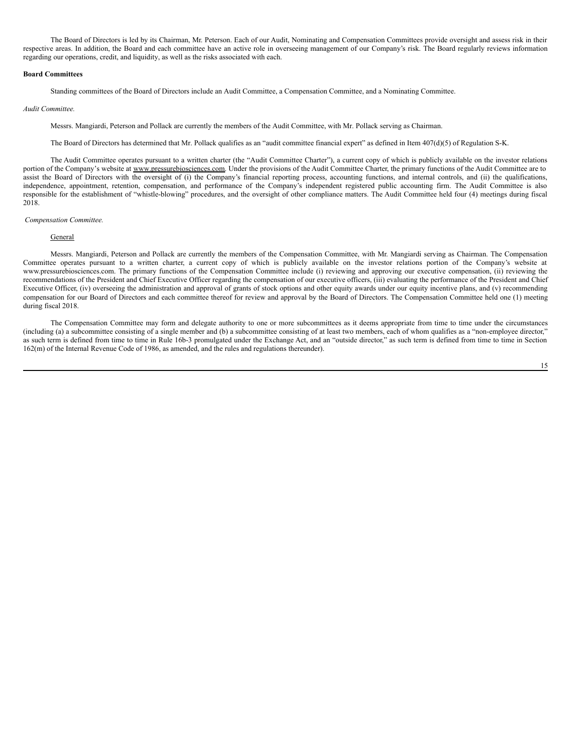The Board of Directors is led by its Chairman, Mr. Peterson. Each of our Audit, Nominating and Compensation Committees provide oversight and assess risk in their respective areas. In addition, the Board and each committee have an active role in overseeing management of our Company's risk. The Board regularly reviews information regarding our operations, credit, and liquidity, as well as the risks associated with each.

#### **Board Committees**

Standing committees of the Board of Directors include an Audit Committee, a Compensation Committee, and a Nominating Committee.

## *Audit Committee.*

Messrs. Mangiardi, Peterson and Pollack are currently the members of the Audit Committee, with Mr. Pollack serving as Chairman.

The Board of Directors has determined that Mr. Pollack qualifies as an "audit committee financial expert" as defined in Item 407(d)(5) of Regulation S-K.

The Audit Committee operates pursuant to a written charter (the "Audit Committee Charter"), a current copy of which is publicly available on the investor relations portion of the Company's website at www.pressurebiosciences.com. Under the provisions of the Audit Committee Charter, the primary functions of the Audit Committee are to assist the Board of Directors with the oversight of (i) the Company's financial reporting process, accounting functions, and internal controls, and (ii) the qualifications, independence, appointment, retention, compensation, and performance of the Company's independent registered public accounting firm. The Audit Committee is also responsible for the establishment of "whistle-blowing" procedures, and the oversight of other compliance matters. The Audit Committee held four (4) meetings during fiscal 2018.

#### <span id="page-14-0"></span>*Compensation Committee.*

#### **General**

Messrs. Mangiardi, Peterson and Pollack are currently the members of the Compensation Committee, with Mr. Mangiardi serving as Chairman. The Compensation Committee operates pursuant to a written charter, a current copy of which is publicly available on the investor relations portion of the Company's website at www.pressurebiosciences.com. The primary functions of the Compensation Committee include (i) reviewing and approving our executive compensation, (ii) reviewing the recommendations of the President and Chief Executive Officer regarding the compensation of our executive officers, (iii) evaluating the performance of the President and Chief Executive Officer, (iv) overseeing the administration and approval of grants of stock options and other equity awards under our equity incentive plans, and (v) recommending compensation for our Board of Directors and each committee thereof for review and approval by the Board of Directors. The Compensation Committee held one (1) meeting during fiscal 2018.

The Compensation Committee may form and delegate authority to one or more subcommittees as it deems appropriate from time to time under the circumstances (including (a) a subcommittee consisting of a single member and (b) a subcommittee consisting of at least two members, each of whom qualifies as a "non-employee director," as such term is defined from time to time in Rule 16b-3 promulgated under the Exchange Act, and an "outside director," as such term is defined from time to time in Section 162(m) of the Internal Revenue Code of 1986, as amended, and the rules and regulations thereunder).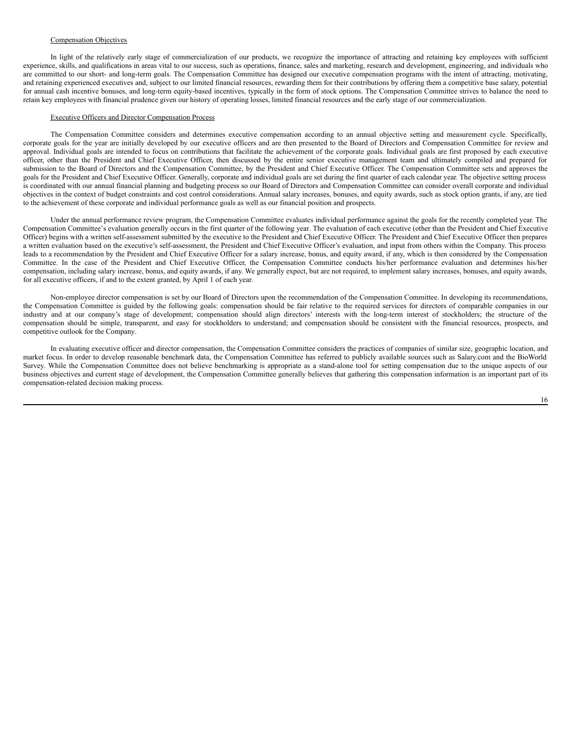## Compensation Objectives

In light of the relatively early stage of commercialization of our products, we recognize the importance of attracting and retaining key employees with sufficient experience, skills, and qualifications in areas vital to our success, such as operations, finance, sales and marketing, research and development, engineering, and individuals who are committed to our short- and long-term goals. The Compensation Committee has designed our executive compensation programs with the intent of attracting, motivating, and retaining experienced executives and, subject to our limited financial resources, rewarding them for their contributions by offering them a competitive base salary, potential for annual cash incentive bonuses, and long-term equity-based incentives, typically in the form of stock options. The Compensation Committee strives to balance the need to retain key employees with financial prudence given our history of operating losses, limited financial resources and the early stage of our commercialization.

#### Executive Officers and Director Compensation Process

The Compensation Committee considers and determines executive compensation according to an annual objective setting and measurement cycle. Specifically, corporate goals for the year are initially developed by our executive officers and are then presented to the Board of Directors and Compensation Committee for review and approval. Individual goals are intended to focus on contributions that facilitate the achievement of the corporate goals. Individual goals are first proposed by each executive officer, other than the President and Chief Executive Officer, then discussed by the entire senior executive management team and ultimately compiled and prepared for submission to the Board of Directors and the Compensation Committee, by the President and Chief Executive Officer. The Compensation Committee sets and approves the goals for the President and Chief Executive Officer. Generally, corporate and individual goals are set during the first quarter of each calendar year. The objective setting process is coordinated with our annual financial planning and budgeting process so our Board of Directors and Compensation Committee can consider overall corporate and individual objectives in the context of budget constraints and cost control considerations. Annual salary increases, bonuses, and equity awards, such as stock option grants, if any, are tied to the achievement of these corporate and individual performance goals as well as our financial position and prospects.

Under the annual performance review program, the Compensation Committee evaluates individual performance against the goals for the recently completed year. The Compensation Committee's evaluation generally occurs in the first quarter of the following year. The evaluation of each executive (other than the President and Chief Executive Officer) begins with a written self-assessment submitted by the executive to the President and Chief Executive Officer. The President and Chief Executive Officer then prepares a written evaluation based on the executive's self-assessment, the President and Chief Executive Officer's evaluation, and input from others within the Company. This process leads to a recommendation by the President and Chief Executive Officer for a salary increase, bonus, and equity award, if any, which is then considered by the Compensation Committee. In the case of the President and Chief Executive Officer, the Compensation Committee conducts his/her performance evaluation and determines his/her compensation, including salary increase, bonus, and equity awards, if any. We generally expect, but are not required, to implement salary increases, bonuses, and equity awards, for all executive officers, if and to the extent granted, by April 1 of each year.

Non-employee director compensation is set by our Board of Directors upon the recommendation of the Compensation Committee. In developing its recommendations, the Compensation Committee is guided by the following goals: compensation should be fair relative to the required services for directors of comparable companies in our industry and at our company's stage of development; compensation should align directors' interests with the long-term interest of stockholders; the structure of the compensation should be simple, transparent, and easy for stockholders to understand; and compensation should be consistent with the financial resources, prospects, and competitive outlook for the Company.

In evaluating executive officer and director compensation, the Compensation Committee considers the practices of companies of similar size, geographic location, and market focus. In order to develop reasonable benchmark data, the Compensation Committee has referred to publicly available sources such as Salary.com and the BioWorld Survey. While the Compensation Committee does not believe benchmarking is appropriate as a stand-alone tool for setting compensation due to the unique aspects of our business objectives and current stage of development, the Compensation Committee generally believes that gathering this compensation information is an important part of its compensation-related decision making process.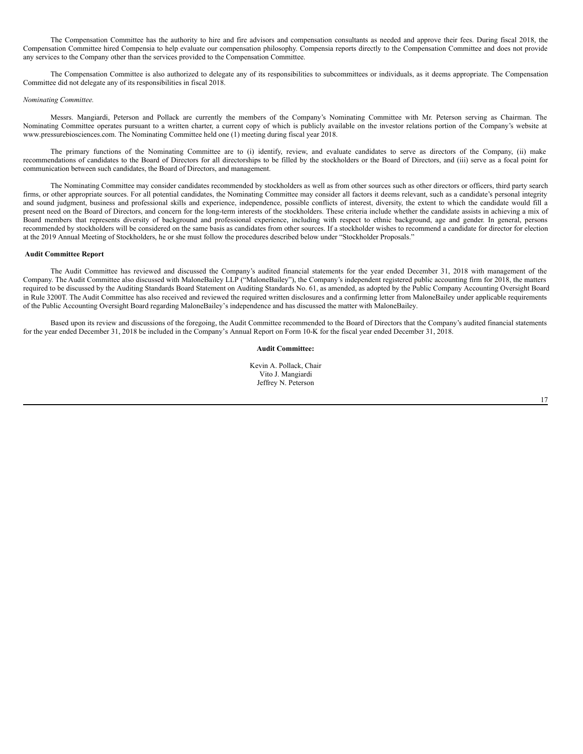The Compensation Committee has the authority to hire and fire advisors and compensation consultants as needed and approve their fees. During fiscal 2018, the Compensation Committee hired Compensia to help evaluate our compensation philosophy. Compensia reports directly to the Compensation Committee and does not provide any services to the Company other than the services provided to the Compensation Committee.

The Compensation Committee is also authorized to delegate any of its responsibilities to subcommittees or individuals, as it deems appropriate. The Compensation Committee did not delegate any of its responsibilities in fiscal 2018.

#### *Nominating Committee.*

Messrs. Mangiardi, Peterson and Pollack are currently the members of the Company's Nominating Committee with Mr. Peterson serving as Chairman. The Nominating Committee operates pursuant to a written charter, a current copy of which is publicly available on the investor relations portion of the Company's website at www.pressurebiosciences.com. The Nominating Committee held one (1) meeting during fiscal year 2018.

The primary functions of the Nominating Committee are to (i) identify, review, and evaluate candidates to serve as directors of the Company, (ii) make recommendations of candidates to the Board of Directors for all directorships to be filled by the stockholders or the Board of Directors, and (iii) serve as a focal point for communication between such candidates, the Board of Directors, and management.

The Nominating Committee may consider candidates recommended by stockholders as well as from other sources such as other directors or officers, third party search firms, or other appropriate sources. For all potential candidates, the Nominating Committee may consider all factors it deems relevant, such as a candidate's personal integrity and sound judgment, business and professional skills and experience, independence, possible conflicts of interest, diversity, the extent to which the candidate would fill a present need on the Board of Directors, and concern for the long-term interests of the stockholders. These criteria include whether the candidate assists in achieving a mix of Board members that represents diversity of background and professional experience, including with respect to ethnic background, age and gender. In general, persons recommended by stockholders will be considered on the same basis as candidates from other sources. If a stockholder wishes to recommend a candidate for director for election at the 2019 Annual Meeting of Stockholders, he or she must follow the procedures described below under "Stockholder Proposals."

#### <span id="page-16-0"></span>**Audit Committee Report**

The Audit Committee has reviewed and discussed the Company's audited financial statements for the year ended December 31, 2018 with management of the Company. The Audit Committee also discussed with MaloneBailey LLP ("MaloneBailey"), the Company's independent registered public accounting firm for 2018, the matters required to be discussed by the Auditing Standards Board Statement on Auditing Standards No. 61, as amended, as adopted by the Public Company Accounting Oversight Board in Rule 3200T. The Audit Committee has also received and reviewed the required written disclosures and a confirming letter from MaloneBailey under applicable requirements of the Public Accounting Oversight Board regarding MaloneBailey's independence and has discussed the matter with MaloneBailey.

Based upon its review and discussions of the foregoing, the Audit Committee recommended to the Board of Directors that the Company's audited financial statements for the year ended December 31, 2018 be included in the Company's Annual Report on Form 10-K for the fiscal year ended December 31, 2018.

## **Audit Committee:**

Kevin A. Pollack, Chair Vito J. Mangiardi Jeffrey N. Peterson

17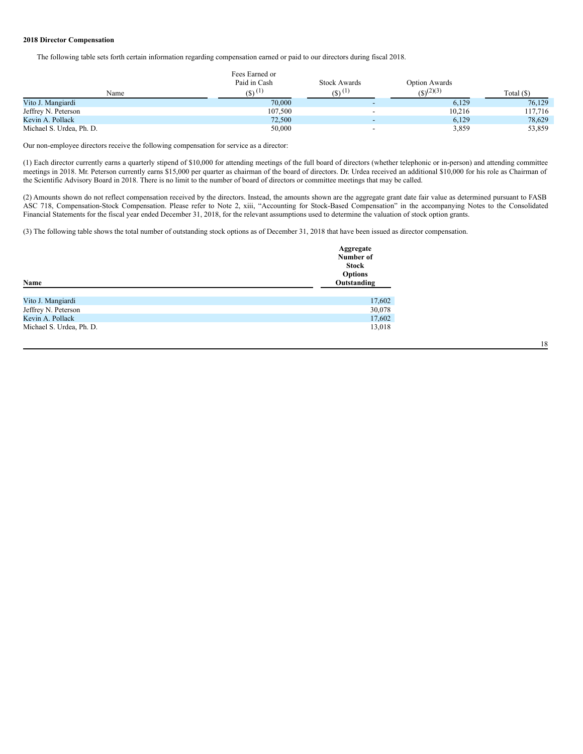## **2018 Director Compensation**

The following table sets forth certain information regarding compensation earned or paid to our directors during fiscal 2018.

|                          | Fees Earned or       |                     |                         |            |
|--------------------------|----------------------|---------------------|-------------------------|------------|
|                          | Paid in Cash         | <b>Stock Awards</b> | Option Awards           |            |
| Name                     | $(5)$ <sup>(1)</sup> | $(8)$ (1)           | $(S)$ <sup>(2)(3)</sup> | Total (\$) |
| Vito J. Mangiardi        | 70,000               |                     | 6,129                   | 76,129     |
| Jeffrey N. Peterson      | 107,500              |                     | 10.216                  | 117,716    |
| Kevin A. Pollack         | 72,500               |                     | 6,129                   | 78,629     |
| Michael S. Urdea, Ph. D. | 50,000               |                     | 3,859                   | 53,859     |

Our non-employee directors receive the following compensation for service as a director:

(1) Each director currently earns a quarterly stipend of \$10,000 for attending meetings of the full board of directors (whether telephonic or in-person) and attending committee meetings in 2018. Mr. Peterson currently earns \$15,000 per quarter as chairman of the board of directors. Dr. Urdea received an additional \$10,000 for his role as Chairman of the Scientific Advisory Board in 2018. There is no limit to the number of board of directors or committee meetings that may be called.

(2) Amounts shown do not reflect compensation received by the directors. Instead, the amounts shown are the aggregate grant date fair value as determined pursuant to FASB ASC 718, Compensation-Stock Compensation. Please refer to Note 2, xiii, "Accounting for Stock-Based Compensation" in the accompanying Notes to the Consolidated Financial Statements for the fiscal year ended December 31, 2018, for the relevant assumptions used to determine the valuation of stock option grants.

(3) The following table shows the total number of outstanding stock options as of December 31, 2018 that have been issued as director compensation.

| Name                     | Aggregate<br>Number of<br><b>Stock</b><br><b>Options</b><br>Outstanding |
|--------------------------|-------------------------------------------------------------------------|
|                          |                                                                         |
| Vito J. Mangiardi        | 17,602                                                                  |
| Jeffrey N. Peterson      | 30,078                                                                  |
| Kevin A. Pollack         | 17,602                                                                  |
| Michael S. Urdea, Ph. D. | 13,018                                                                  |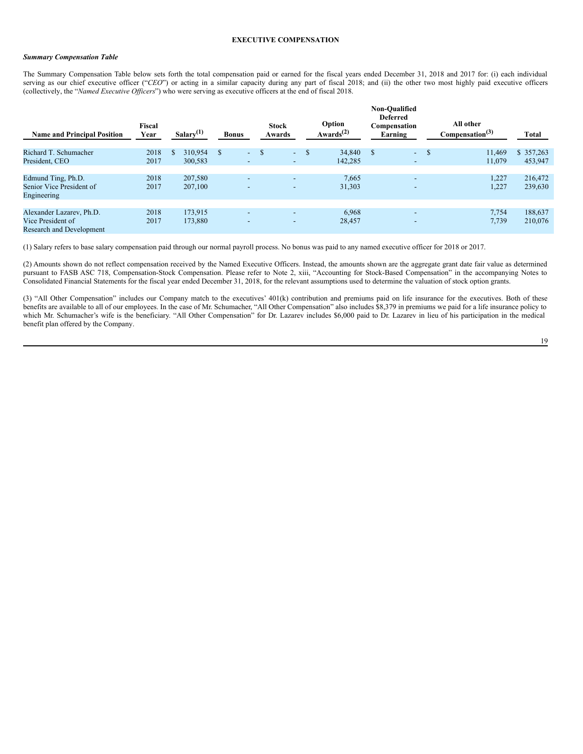## *Summary Compensation Table*

The Summary Compensation Table below sets forth the total compensation paid or earned for the fiscal years ended December 31, 2018 and 2017 for: (i) each individual serving as our chief executive officer ("CEO") or acting in a similar capacity during any part of fiscal 2018; and (ii) the other two most highly paid executive officers (collectively, the "*Named Executive Officers*") who were serving as executive officers at the end of fiscal 2018.

| <b>Name and Principal Position</b> | Fiscal<br>Year | Salary $(1)$   | <b>Bonus</b>  | <b>Stock</b><br>Awards   |        | Option<br>Awards <sup><math>(2)</math></sup> | <b>Non-Oualified</b><br><b>Deferred</b><br>Compensation<br>Earning | All other<br>Compensation <sup>(3)</sup> | <b>Total</b> |
|------------------------------------|----------------|----------------|---------------|--------------------------|--------|----------------------------------------------|--------------------------------------------------------------------|------------------------------------------|--------------|
| Richard T. Schumacher              | 2018           | 310.954<br>\$. | <sup>\$</sup> | $-$ \$                   | $-$ \$ | 34,840                                       | S<br>٠                                                             | <sup>\$</sup><br>11,469                  | \$357,263    |
| President, CEO                     | 2017           | 300,583        | -             | $\sim$                   |        | 142,285                                      | $\overline{\phantom{a}}$                                           | 11,079                                   | 453,947      |
|                                    |                |                |               |                          |        |                                              |                                                                    |                                          |              |
| Edmund Ting, Ph.D.                 | 2018           | 207,580        | -             | $\overline{\phantom{0}}$ |        | 7,665                                        | $\overline{\phantom{a}}$                                           | 1,227                                    | 216,472      |
| Senior Vice President of           | 2017           | 207,100        | ۰.            | $\overline{\phantom{0}}$ |        | 31,303                                       | -                                                                  | 1,227                                    | 239,630      |
| Engineering                        |                |                |               |                          |        |                                              |                                                                    |                                          |              |
|                                    |                |                |               |                          |        |                                              |                                                                    |                                          |              |
| Alexander Lazarev, Ph.D.           | 2018           | 173.915        | -             | $\overline{\phantom{a}}$ |        | 6,968                                        | $\overline{\phantom{0}}$                                           | 7,754                                    | 188,637      |
| Vice President of                  | 2017           | 173,880        | -             | $\overline{\phantom{0}}$ |        | 28,457                                       | $\overline{\phantom{0}}$                                           | 7,739                                    | 210,076      |
| <b>Research and Development</b>    |                |                |               |                          |        |                                              |                                                                    |                                          |              |

(1) Salary refers to base salary compensation paid through our normal payroll process. No bonus was paid to any named executive officer for 2018 or 2017.

(2) Amounts shown do not reflect compensation received by the Named Executive Officers. Instead, the amounts shown are the aggregate grant date fair value as determined pursuant to FASB ASC 718, Compensation-Stock Compensation. Please refer to Note 2, xiii, "Accounting for Stock-Based Compensation" in the accompanying Notes to Consolidated Financial Statements for the fiscal year ended December 31, 2018, for the relevant assumptions used to determine the valuation of stock option grants.

(3) "All Other Compensation" includes our Company match to the executives' 401(k) contribution and premiums paid on life insurance for the executives. Both of these benefits are available to all of our employees. In the case of Mr. Schumacher, "All Other Compensation" also includes \$8,379 in premiums we paid for a life insurance policy to which Mr. Schumacher's wife is the beneficiary. "All Other Compensation" for Dr. Lazarev includes \$6,000 paid to Dr. Lazarev in lieu of his participation in the medical benefit plan offered by the Company.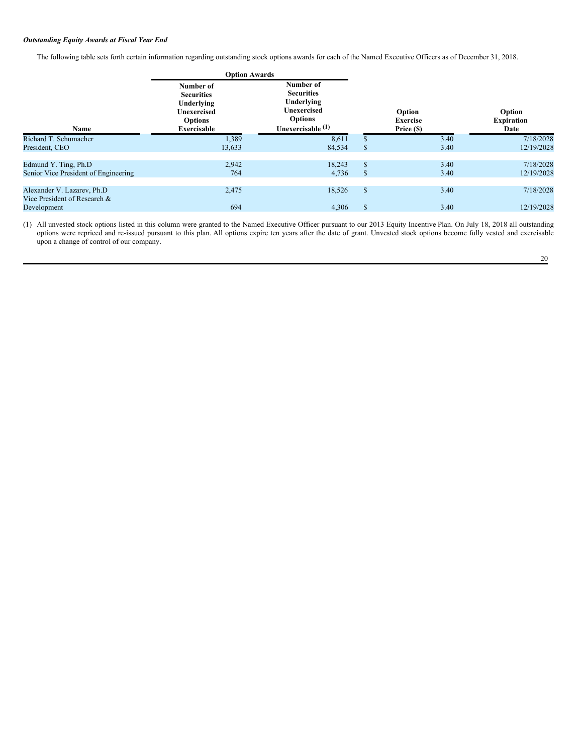## *Outstanding Equity Awards at Fiscal Year End*

The following table sets forth certain information regarding outstanding stock options awards for each of the Named Executive Officers as of December 31, 2018.

|                                                             | <b>Option Awards</b>                                                                                |                                                                                                             |               |                                         |                                     |  |
|-------------------------------------------------------------|-----------------------------------------------------------------------------------------------------|-------------------------------------------------------------------------------------------------------------|---------------|-----------------------------------------|-------------------------------------|--|
| Name                                                        | Number of<br><b>Securities</b><br>Underlying<br><b>Unexercised</b><br><b>Options</b><br>Exercisable | Number of<br><b>Securities</b><br>Underlying<br><b>Unexercised</b><br><b>Options</b><br>Unexercisable $(1)$ |               | Option<br><b>Exercise</b><br>Price (\$) | Option<br><b>Expiration</b><br>Date |  |
| Richard T. Schumacher                                       | 1,389                                                                                               | 8,611                                                                                                       | \$            | 3.40                                    | 7/18/2028                           |  |
| President, CEO                                              | 13,633                                                                                              | 84,534                                                                                                      | \$            | 3.40                                    | 12/19/2028                          |  |
|                                                             |                                                                                                     |                                                                                                             |               |                                         |                                     |  |
| Edmund Y. Ting, Ph.D                                        | 2,942                                                                                               | 18,243                                                                                                      | \$            | 3.40                                    | 7/18/2028                           |  |
| Senior Vice President of Engineering                        | 764                                                                                                 | 4,736                                                                                                       | <sup>\$</sup> | 3.40                                    | 12/19/2028                          |  |
|                                                             |                                                                                                     |                                                                                                             |               |                                         |                                     |  |
| Alexander V. Lazarev, Ph.D.<br>Vice President of Research & | 2,475                                                                                               | 18,526                                                                                                      | <sup>\$</sup> | 3.40                                    | 7/18/2028                           |  |
| Development                                                 | 694                                                                                                 | 4,306                                                                                                       | <sup>\$</sup> | 3.40                                    | 12/19/2028                          |  |
|                                                             |                                                                                                     |                                                                                                             |               |                                         |                                     |  |

(1) All unvested stock options listed in this column were granted to the Named Executive Officer pursuant to our 2013 Equity Incentive Plan. On July 18, 2018 all outstanding options were repriced and re-issued pursuant to this plan. All options expire ten years after the date of grant. Unvested stock options become fully vested and exercisable upon a change of control of our company.

20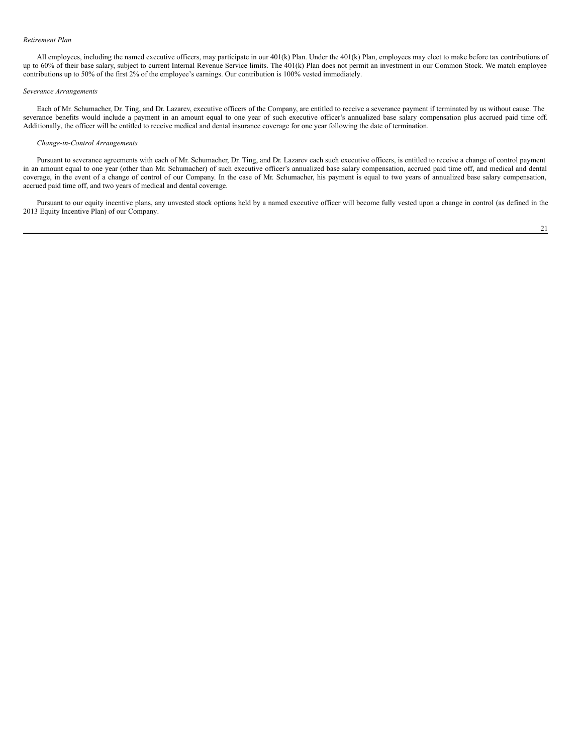#### *Retirement Plan*

All employees, including the named executive officers, may participate in our 401(k) Plan. Under the 401(k) Plan, employees may elect to make before tax contributions of up to 60% of their base salary, subject to current Internal Revenue Service limits. The 401(k) Plan does not permit an investment in our Common Stock. We match employee contributions up to 50% of the first 2% of the employee's earnings. Our contribution is 100% vested immediately.

#### *Severance Arrangements*

Each of Mr. Schumacher, Dr. Ting, and Dr. Lazarev, executive officers of the Company, are entitled to receive a severance payment if terminated by us without cause. The severance benefits would include a payment in an amount equal to one year of such executive officer's annualized base salary compensation plus accrued paid time off. Additionally, the officer will be entitled to receive medical and dental insurance coverage for one year following the date of termination.

## *Change-in-Control Arrangements*

Pursuant to severance agreements with each of Mr. Schumacher, Dr. Ting, and Dr. Lazarev each such executive officers, is entitled to receive a change of control payment in an amount equal to one year (other than Mr. Schumacher) of such executive officer's annualized base salary compensation, accrued paid time off, and medical and dental coverage, in the event of a change of control of our Company. In the case of Mr. Schumacher, his payment is equal to two years of annualized base salary compensation, accrued paid time off, and two years of medical and dental coverage.

Pursuant to our equity incentive plans, any unvested stock options held by a named executive officer will become fully vested upon a change in control (as defined in the 2013 Equity Incentive Plan) of our Company.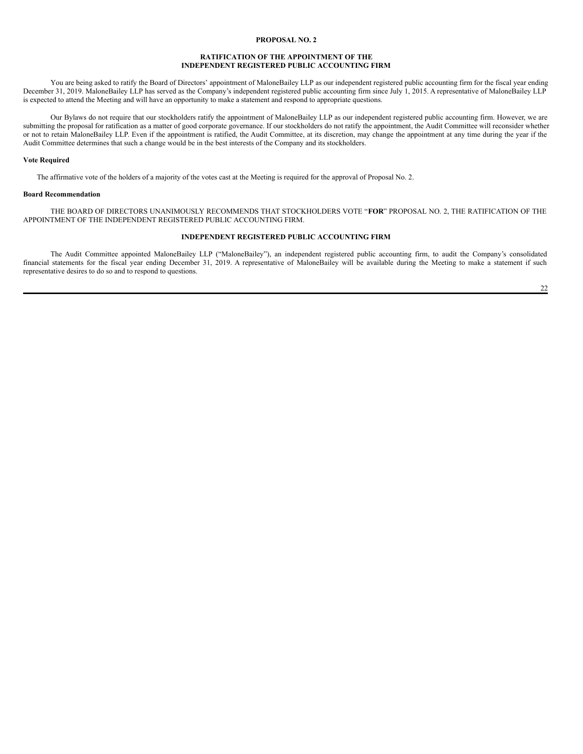#### <span id="page-21-0"></span>**PROPOSAL NO. 2**

## **RATIFICATION OF THE APPOINTMENT OF THE INDEPENDENT REGISTERED PUBLIC ACCOUNTING FIRM**

You are being asked to ratify the Board of Directors' appointment of MaloneBailey LLP as our independent registered public accounting firm for the fiscal year ending December 31, 2019. MaloneBailey LLP has served as the Company's independent registered public accounting firm since July 1, 2015. A representative of MaloneBailey LLP is expected to attend the Meeting and will have an opportunity to make a statement and respond to appropriate questions.

Our Bylaws do not require that our stockholders ratify the appointment of MaloneBailey LLP as our independent registered public accounting firm. However, we are submitting the proposal for ratification as a matter of good corporate governance. If our stockholders do not ratify the appointment, the Audit Committee will reconsider whether or not to retain MaloneBailey LLP. Even if the appointment is ratified, the Audit Committee, at its discretion, may change the appointment at any time during the year if the Audit Committee determines that such a change would be in the best interests of the Company and its stockholders.

#### **Vote Required**

The affirmative vote of the holders of a majority of the votes cast at the Meeting is required for the approval of Proposal No. 2.

## **Board Recommendation**

THE BOARD OF DIRECTORS UNANIMOUSLY RECOMMENDS THAT STOCKHOLDERS VOTE "**FOR**" PROPOSAL NO. 2, THE RATIFICATION OF THE APPOINTMENT OF THE INDEPENDENT REGISTERED PUBLIC ACCOUNTING FIRM.

## **INDEPENDENT REGISTERED PUBLIC ACCOUNTING FIRM**

The Audit Committee appointed MaloneBailey LLP ("MaloneBailey"), an independent registered public accounting firm, to audit the Company's consolidated financial statements for the fiscal year ending December 31, 2019. A representative of MaloneBailey will be available during the Meeting to make a statement if such representative desires to do so and to respond to questions.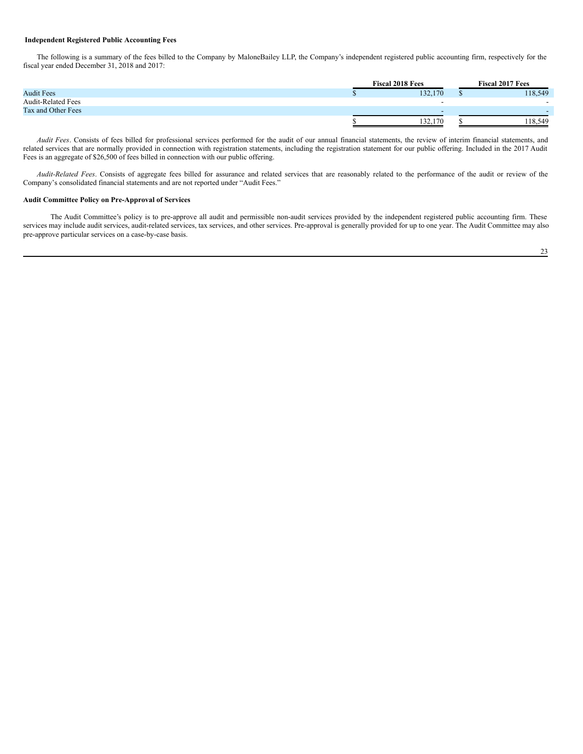## <span id="page-22-0"></span>**Independent Registered Public Accounting Fees**

The following is a summary of the fees billed to the Company by MaloneBailey LLP, the Company's independent registered public accounting firm, respectively for the fiscal year ended December 31, 2018 and 2017:

|                           | <b>Fiscal 2018 Fees</b> |         |  | <b>Fiscal 2017 Fees</b>  |  |  |
|---------------------------|-------------------------|---------|--|--------------------------|--|--|
| <b>Audit Fees</b>         |                         | 132,170 |  | 118,549                  |  |  |
| <b>Audit-Related Fees</b> |                         | -       |  | $\overline{\phantom{a}}$ |  |  |
| Tax and Other Fees        |                         |         |  |                          |  |  |
|                           |                         | 132,170 |  | 118,549                  |  |  |

*Audit Fees*. Consists of fees billed for professional services performed for the audit of our annual financial statements, the review of interim financial statements, and related services that are normally provided in connection with registration statements, including the registration statement for our public offering. Included in the 2017 Audit Fees is an aggregate of \$26,500 of fees billed in connection with our public offering.

*Audit-Related Fees*. Consists of aggregate fees billed for assurance and related services that are reasonably related to the performance of the audit or review of the Company's consolidated financial statements and are not reported under "Audit Fees."

#### **Audit Committee Policy on Pre-Approval of Services**

The Audit Committee's policy is to pre-approve all audit and permissible non-audit services provided by the independent registered public accounting firm. These services may include audit services, audit-related services, tax services, and other services. Pre-approval is generally provided for up to one year. The Audit Committee may also pre-approve particular services on a case-by-case basis.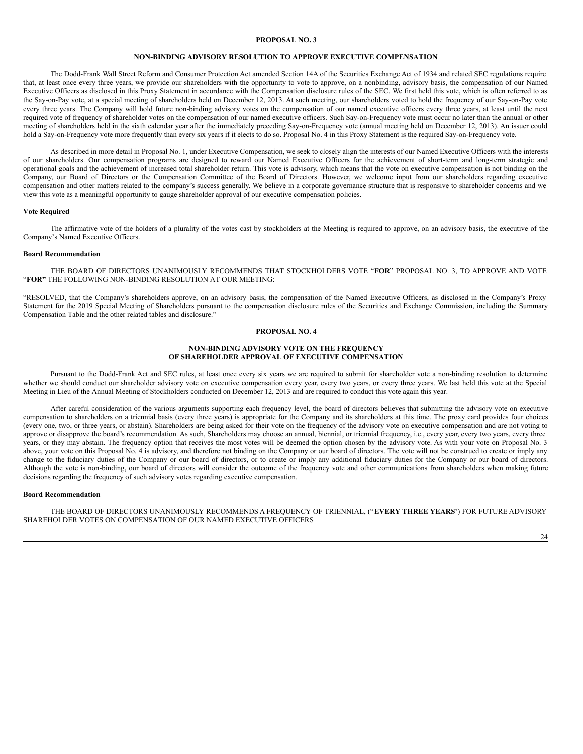## <span id="page-23-0"></span>**PROPOSAL NO. 3**

## **NON-BINDING ADVISORY RESOLUTION TO APPROVE EXECUTIVE COMPENSATION**

The Dodd-Frank Wall Street Reform and Consumer Protection Act amended Section 14A of the Securities Exchange Act of 1934 and related SEC regulations require that, at least once every three years, we provide our shareholders with the opportunity to vote to approve, on a nonbinding, advisory basis, the compensation of our Named Executive Officers as disclosed in this Proxy Statement in accordance with the Compensation disclosure rules of the SEC. We first held this vote, which is often referred to as the Say-on-Pay vote, at a special meeting of shareholders held on December 12, 2013. At such meeting, our shareholders voted to hold the frequency of our Say-on-Pay vote every three years. The Company will hold future non-binding advisory votes on the compensation of our named executive officers every three years, at least until the next required vote of frequency of shareholder votes on the compensation of our named executive officers. Such Say-on-Frequency vote must occur no later than the annual or other meeting of shareholders held in the sixth calendar year after the immediately preceding Say-on-Frequency vote (annual meeting held on December 12, 2013). An issuer could hold a Say-on-Frequency vote more frequently than every six years if it elects to do so. Proposal No. 4 in this Proxy Statement is the required Say-on-Frequency vote.

As described in more detail in Proposal No. 1, under Executive Compensation, we seek to closely align the interests of our Named Executive Officers with the interests of our shareholders. Our compensation programs are designed to reward our Named Executive Officers for the achievement of short-term and long-term strategic and operational goals and the achievement of increased total shareholder return. This vote is advisory, which means that the vote on executive compensation is not binding on the Company, our Board of Directors or the Compensation Committee of the Board of Directors. However, we welcome input from our shareholders regarding executive compensation and other matters related to the company's success generally. We believe in a corporate governance structure that is responsive to shareholder concerns and we view this vote as a meaningful opportunity to gauge shareholder approval of our executive compensation policies.

## **Vote Required**

The affirmative vote of the holders of a plurality of the votes cast by stockholders at the Meeting is required to approve, on an advisory basis, the executive of the Company's Named Executive Officers.

#### **Board Recommendation**

THE BOARD OF DIRECTORS UNANIMOUSLY RECOMMENDS THAT STOCKHOLDERS VOTE "**FOR**" PROPOSAL NO. 3, TO APPROVE AND VOTE "**FOR"** THE FOLLOWING NON-BINDING RESOLUTION AT OUR MEETING:

"RESOLVED, that the Company's shareholders approve, on an advisory basis, the compensation of the Named Executive Officers, as disclosed in the Company's Proxy Statement for the 2019 Special Meeting of Shareholders pursuant to the compensation disclosure rules of the Securities and Exchange Commission, including the Summary Compensation Table and the other related tables and disclosure."

## <span id="page-23-1"></span>**PROPOSAL NO. 4**

## **NON-BINDING ADVISORY VOTE ON THE FREQUENCY OF SHAREHOLDER APPROVAL OF EXECUTIVE COMPENSATION**

Pursuant to the Dodd-Frank Act and SEC rules, at least once every six years we are required to submit for shareholder vote a non-binding resolution to determine whether we should conduct our shareholder advisory vote on executive compensation every year, every two years, or every three years. We last held this vote at the Special Meeting in Lieu of the Annual Meeting of Stockholders conducted on December 12, 2013 and are required to conduct this vote again this year.

After careful consideration of the various arguments supporting each frequency level, the board of directors believes that submitting the advisory vote on executive compensation to shareholders on a triennial basis (every three years) is appropriate for the Company and its shareholders at this time. The proxy card provides four choices (every one, two, or three years, or abstain). Shareholders are being asked for their vote on the frequency of the advisory vote on executive compensation and are not voting to approve or disapprove the board's recommendation. As such, Shareholders may choose an annual, biennial, or triennial frequency, i.e., every year, every two years, every three years, or they may abstain. The frequency option that receives the most votes will be deemed the option chosen by the advisory vote. As with your vote on Proposal No. 3 above, your vote on this Proposal No. 4 is advisory, and therefore not binding on the Company or our board of directors. The vote will not be construed to create or imply any change to the fiduciary duties of the Company or our board of directors, or to create or imply any additional fiduciary duties for the Company or our board of directors. Although the vote is non-binding, our board of directors will consider the outcome of the frequency vote and other communications from shareholders when making future decisions regarding the frequency of such advisory votes regarding executive compensation.

#### **Board Recommendation**

THE BOARD OF DIRECTORS UNANIMOUSLY RECOMMENDS A FREQUENCY OF TRIENNIAL, ("**EVERY THREE YEARS**") FOR FUTURE ADVISORY SHAREHOLDER VOTES ON COMPENSATION OF OUR NAMED EXECUTIVE OFFICERS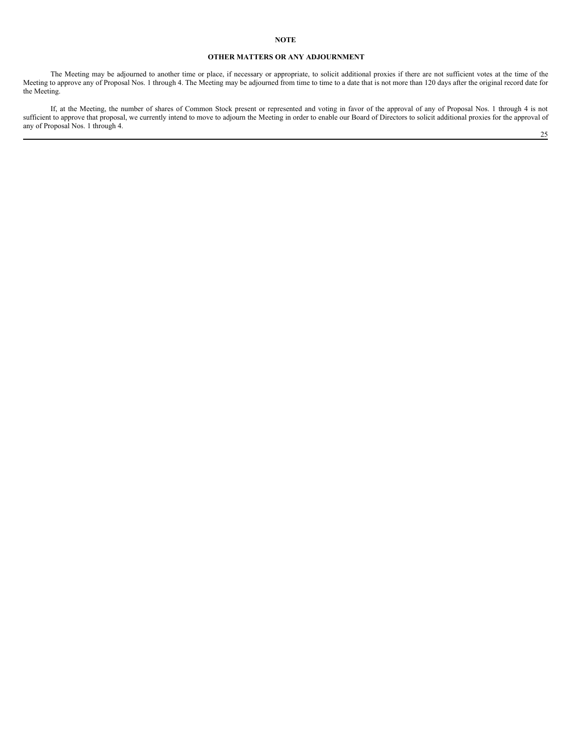## **OTHER MATTERS OR ANY ADJOURNMENT**

The Meeting may be adjourned to another time or place, if necessary or appropriate, to solicit additional proxies if there are not sufficient votes at the time of the Meeting to approve any of Proposal Nos. 1 through 4. The Meeting may be adjourned from time to time to a date that is not more than 120 days after the original record date for the Meeting.

If, at the Meeting, the number of shares of Common Stock present or represented and voting in favor of the approval of any of Proposal Nos. 1 through 4 is not sufficient to approve that proposal, we currently intend to move to adjourn the Meeting in order to enable our Board of Directors to solicit additional proxies for the approval of any of Proposal Nos. 1 through 4. 25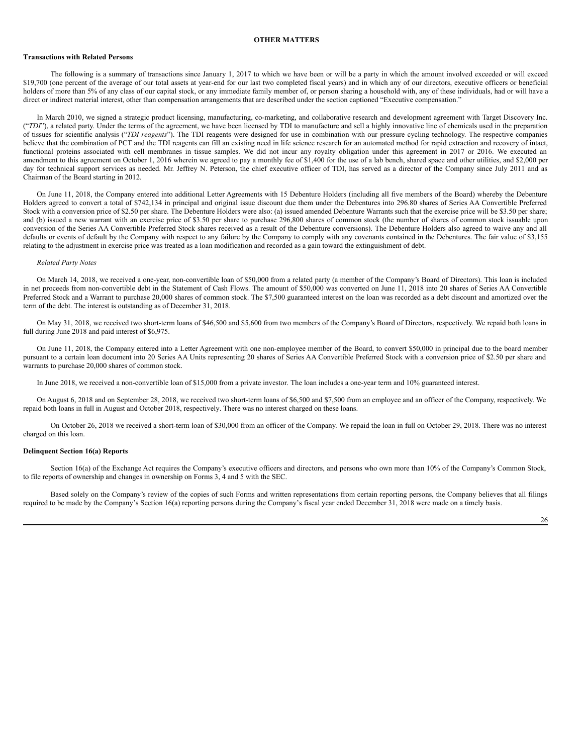#### <span id="page-25-0"></span>**OTHER MATTERS**

#### **Transactions with Related Persons**

The following is a summary of transactions since January 1, 2017 to which we have been or will be a party in which the amount involved exceeded or will exceed \$19,700 (one percent of the average of our total assets at year-end for our last two completed fiscal years) and in which any of our directors, executive officers or beneficial holders of more than 5% of any class of our capital stock, or any immediate family member of, or person sharing a household with, any of these individuals, had or will have a direct or indirect material interest, other than compensation arrangements that are described under the section captioned "Executive compensation."

In March 2010, we signed a strategic product licensing, manufacturing, co-marketing, and collaborative research and development agreement with Target Discovery Inc. ("*TDI*"), a related party. Under the terms of the agreement, we have been licensed by TDI to manufacture and sell a highly innovative line of chemicals used in the preparation of tissues for scientific analysis ("*TDI reagents*"). The TDI reagents were designed for use in combination with our pressure cycling technology. The respective companies believe that the combination of PCT and the TDI reagents can fill an existing need in life science research for an automated method for rapid extraction and recovery of intact, functional proteins associated with cell membranes in tissue samples. We did not incur any royalty obligation under this agreement in 2017 or 2016. We executed an amendment to this agreement on October 1, 2016 wherein we agreed to pay a monthly fee of \$1,400 for the use of a lab bench, shared space and other utilities, and \$2,000 per day for technical support services as needed. Mr. Jeffrey N. Peterson, the chief executive officer of TDI, has served as a director of the Company since July 2011 and as Chairman of the Board starting in 2012.

On June 11, 2018, the Company entered into additional Letter Agreements with 15 Debenture Holders (including all five members of the Board) whereby the Debenture Holders agreed to convert a total of \$742,134 in principal and original issue discount due them under the Debentures into 296.80 shares of Series AA Convertible Preferred Stock with a conversion price of \$2.50 per share. The Debenture Holders were also: (a) issued amended Debenture Warrants such that the exercise price will be \$3.50 per share; and (b) issued a new warrant with an exercise price of \$3.50 per share to purchase 296,800 shares of common stock (the number of shares of common stock issuable upon conversion of the Series AA Convertible Preferred Stock shares received as a result of the Debenture conversions). The Debenture Holders also agreed to waive any and all defaults or events of default by the Company with respect to any failure by the Company to comply with any covenants contained in the Debentures. The fair value of \$3,155 relating to the adjustment in exercise price was treated as a loan modification and recorded as a gain toward the extinguishment of debt.

#### *Related Party Notes*

On March 14, 2018, we received a one-year, non-convertible loan of \$50,000 from a related party (a member of the Company's Board of Directors). This loan is included in net proceeds from non-convertible debt in the Statement of Cash Flows. The amount of \$50,000 was converted on June 11, 2018 into 20 shares of Series AA Convertible Preferred Stock and a Warrant to purchase 20,000 shares of common stock. The \$7,500 guaranteed interest on the loan was recorded as a debt discount and amortized over the term of the debt. The interest is outstanding as of December 31, 2018.

On May 31, 2018, we received two short-term loans of \$46,500 and \$5,600 from two members of the Company's Board of Directors, respectively. We repaid both loans in full during June 2018 and paid interest of \$6,975.

On June 11, 2018, the Company entered into a Letter Agreement with one non-employee member of the Board, to convert \$50,000 in principal due to the board member pursuant to a certain loan document into 20 Series AA Units representing 20 shares of Series AA Convertible Preferred Stock with a conversion price of \$2.50 per share and warrants to purchase 20,000 shares of common stock.

In June 2018, we received a non-convertible loan of \$15,000 from a private investor. The loan includes a one-year term and 10% guaranteed interest.

On August 6, 2018 and on September 28, 2018, we received two short-term loans of \$6,500 and \$7,500 from an employee and an officer of the Company, respectively. We repaid both loans in full in August and October 2018, respectively. There was no interest charged on these loans.

On October 26, 2018 we received a short-term loan of \$30,000 from an officer of the Company. We repaid the loan in full on October 29, 2018. There was no interest charged on this loan.

#### **Delinquent Section 16(a) Reports**

Section 16(a) of the Exchange Act requires the Company's executive officers and directors, and persons who own more than 10% of the Company's Common Stock, to file reports of ownership and changes in ownership on Forms 3, 4 and 5 with the SEC.

Based solely on the Company's review of the copies of such Forms and written representations from certain reporting persons, the Company believes that all filings required to be made by the Company's Section 16(a) reporting persons during the Company's fiscal year ended December 31, 2018 were made on a timely basis.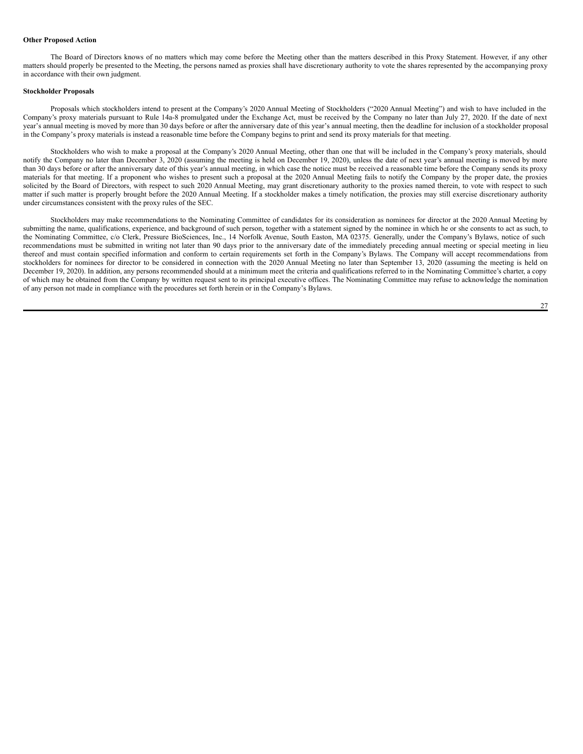## **Other Proposed Action**

The Board of Directors knows of no matters which may come before the Meeting other than the matters described in this Proxy Statement. However, if any other matters should properly be presented to the Meeting, the persons named as proxies shall have discretionary authority to vote the shares represented by the accompanying proxy in accordance with their own judgment.

#### **Stockholder Proposals**

Proposals which stockholders intend to present at the Company's 2020 Annual Meeting of Stockholders ("2020 Annual Meeting") and wish to have included in the Company's proxy materials pursuant to Rule 14a-8 promulgated under the Exchange Act, must be received by the Company no later than July 27, 2020. If the date of next year's annual meeting is moved by more than 30 days before or after the anniversary date of this year's annual meeting, then the deadline for inclusion of a stockholder proposal in the Company's proxy materials is instead a reasonable time before the Company begins to print and send its proxy materials for that meeting.

Stockholders who wish to make a proposal at the Company's 2020 Annual Meeting, other than one that will be included in the Company's proxy materials, should notify the Company no later than December 3, 2020 (assuming the meeting is held on December 19, 2020), unless the date of next year's annual meeting is moved by more than 30 days before or after the anniversary date of this year's annual meeting, in which case the notice must be received a reasonable time before the Company sends its proxy materials for that meeting. If a proponent who wishes to present such a proposal at the 2020 Annual Meeting fails to notify the Company by the proper date, the proxies solicited by the Board of Directors, with respect to such 2020 Annual Meeting, may grant discretionary authority to the proxies named therein, to vote with respect to such matter if such matter is properly brought before the 2020 Annual Meeting. If a stockholder makes a timely notification, the proxies may still exercise discretionary authority under circumstances consistent with the proxy rules of the SEC.

Stockholders may make recommendations to the Nominating Committee of candidates for its consideration as nominees for director at the 2020 Annual Meeting by submitting the name, qualifications, experience, and background of such person, together with a statement signed by the nominee in which he or she consents to act as such, to the Nominating Committee, c/o Clerk, Pressure BioSciences, Inc., 14 Norfolk Avenue, South Easton, MA 02375. Generally, under the Company's Bylaws, notice of such recommendations must be submitted in writing not later than 90 days prior to the anniversary date of the immediately preceding annual meeting or special meeting in lieu thereof and must contain specified information and conform to certain requirements set forth in the Company's Bylaws. The Company will accept recommendations from stockholders for nominees for director to be considered in connection with the 2020 Annual Meeting no later than September 13, 2020 (assuming the meeting is held on December 19, 2020). In addition, any persons recommended should at a minimum meet the criteria and qualifications referred to in the Nominating Committee's charter, a copy of which may be obtained from the Company by written request sent to its principal executive offices. The Nominating Committee may refuse to acknowledge the nomination of any person not made in compliance with the procedures set forth herein or in the Company's Bylaws.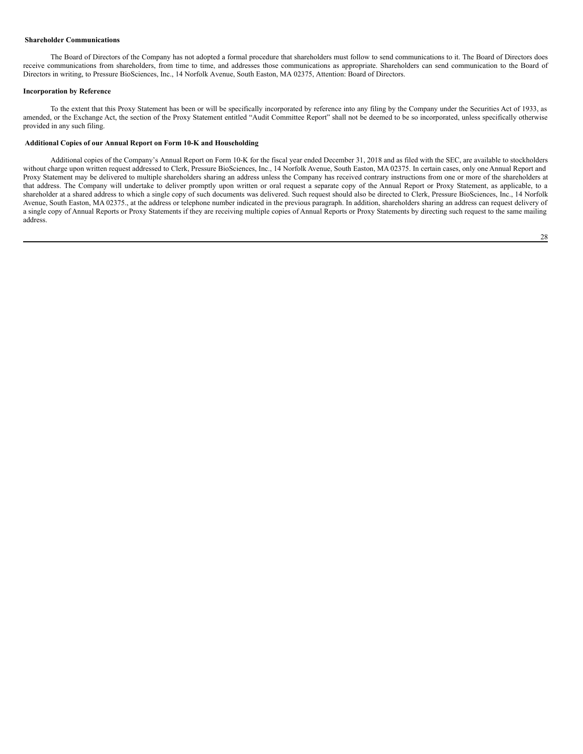## <span id="page-27-0"></span>**Shareholder Communications**

The Board of Directors of the Company has not adopted a formal procedure that shareholders must follow to send communications to it. The Board of Directors does receive communications from shareholders, from time to time, and addresses those communications as appropriate. Shareholders can send communication to the Board of Directors in writing, to Pressure BioSciences, Inc., 14 Norfolk Avenue, South Easton, MA 02375, Attention: Board of Directors.

#### **Incorporation by Reference**

To the extent that this Proxy Statement has been or will be specifically incorporated by reference into any filing by the Company under the Securities Act of 1933, as amended, or the Exchange Act, the section of the Proxy Statement entitled "Audit Committee Report" shall not be deemed to be so incorporated, unless specifically otherwise provided in any such filing.

## <span id="page-27-1"></span>**Additional Copies of our Annual Report on Form 10-K and Householding**

Additional copies of the Company's Annual Report on Form 10-K for the fiscal year ended December 31, 2018 and as filed with the SEC, are available to stockholders without charge upon written request addressed to Clerk, Pressure BioSciences, Inc., 14 Norfolk Avenue, South Easton, MA 02375. In certain cases, only one Annual Report and Proxy Statement may be delivered to multiple shareholders sharing an address unless the Company has received contrary instructions from one or more of the shareholders at that address. The Company will undertake to deliver promptly upon written or oral request a separate copy of the Annual Report or Proxy Statement, as applicable, to a shareholder at a shared address to which a single copy of such documents was delivered. Such request should also be directed to Clerk, Pressure BioSciences, Inc., 14 Norfolk Avenue, South Easton, MA 02375., at the address or telephone number indicated in the previous paragraph. In addition, shareholders sharing an address can request delivery of a single copy of Annual Reports or Proxy Statements if they are receiving multiple copies of Annual Reports or Proxy Statements by directing such request to the same mailing address.